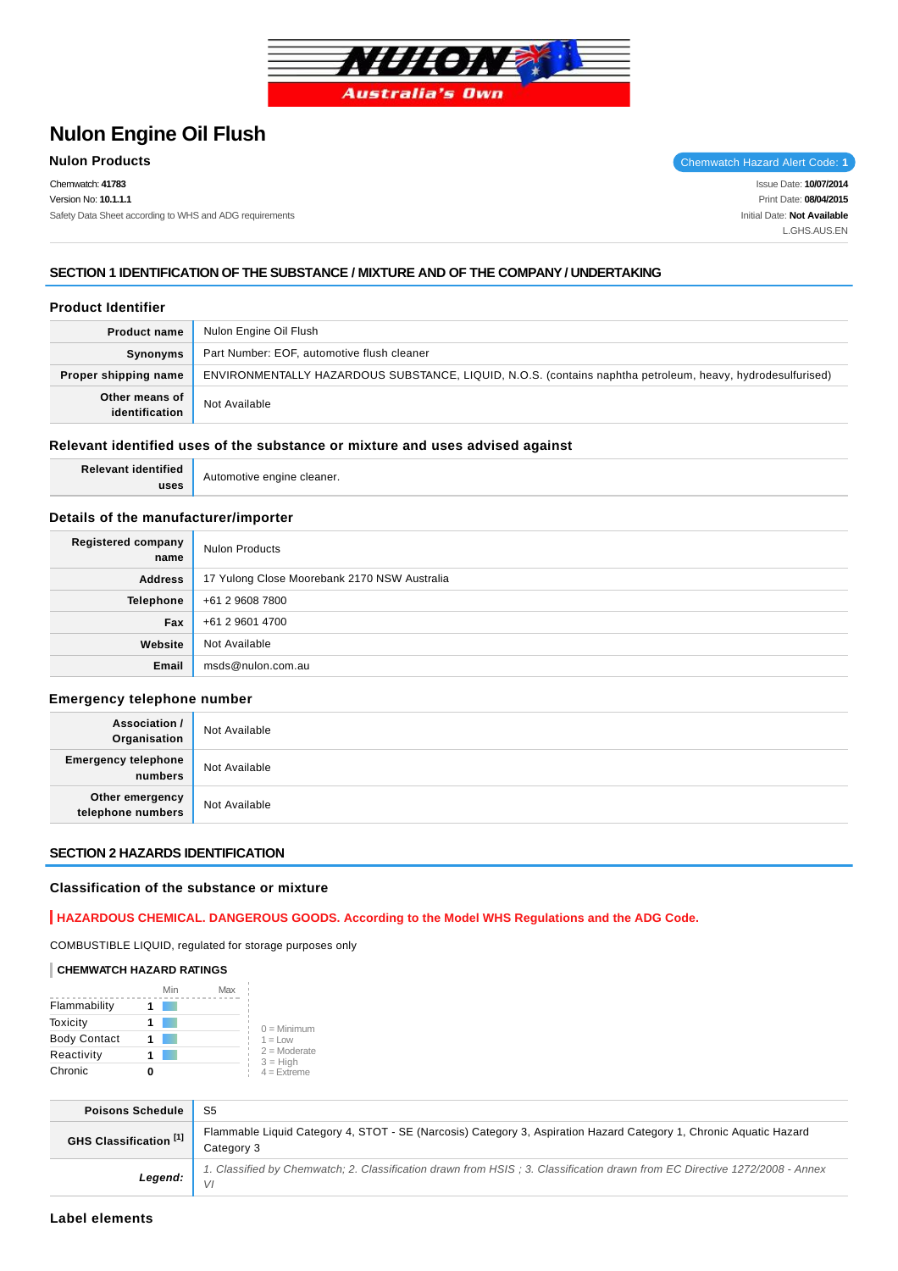

# **Nulon Engine Oil Flush**

Chemwatch: **41783** Version No: **10.1.1.1** Safety Data Sheet according to WHS and ADG requirements

**Nulon Products** Chemwatch Hazard Alert Code: 1

Issue Date: **10/07/2014** Print Date: **08/04/2015** Initial Date: **Not Available** L.GHS.AUS.EN

### **SECTION 1 IDENTIFICATION OF THE SUBSTANCE / MIXTURE AND OF THE COMPANY / UNDERTAKING**

#### **Product Identifier**

| <b>Product name</b>              | Nulon Engine Oil Flush                                                                                     |
|----------------------------------|------------------------------------------------------------------------------------------------------------|
| Synonyms                         | Part Number: EOF, automotive flush cleaner                                                                 |
| Proper shipping name             | ENVIRONMENTALLY HAZARDOUS SUBSTANCE, LIQUID, N.O.S. (contains naphtha petroleum, heavy, hydrodesulfurised) |
| Other means of<br>identification | Not Available                                                                                              |

#### **Relevant identified uses of the substance or mixture and uses advised against**

| IICO <sub>6</sub> | ⋯ |
|-------------------|---|
|                   |   |

### **Details of the manufacturer/importer**

| Registered company<br>name | <b>Nulon Products</b>                        |
|----------------------------|----------------------------------------------|
| <b>Address</b>             | 17 Yulong Close Moorebank 2170 NSW Australia |
| <b>Telephone</b>           | +61 2 9608 7800                              |
| Fax                        | +61 2 9601 4700                              |
| Website                    | Not Available                                |
| Email                      | msds@nulon.com.au                            |

#### **Emergency telephone number**

| <b>Association /<br/>Organisation</b>   | Not Available |
|-----------------------------------------|---------------|
| <b>Emergency telephone</b><br>  numbers | Not Available |
| Other emergency<br>telephone numbers    | Not Available |

#### **SECTION 2 HAZARDS IDENTIFICATION**

#### **Classification of the substance or mixture**

### **HAZARDOUS CHEMICAL. DANGEROUS GOODS. According to the Model WHS Regulations and the ADG Code.**

COMBUSTIBLE LIQUID, regulated for storage purposes only

### **CHEMWATCH HAZARD RATINGS**

|                     | Min | Max |                              |
|---------------------|-----|-----|------------------------------|
| Flammability        |     |     |                              |
| Toxicity            |     |     | $0 =$ Minimum                |
| <b>Body Contact</b> |     |     | $1 = 1$ OW                   |
| Reactivity          |     |     | $2 =$ Moderate<br>$3 = High$ |
| Chronic             |     |     | $4 =$ Extreme                |

| <b>Poisons Schedule</b> | - S5                                                                                                                             |
|-------------------------|----------------------------------------------------------------------------------------------------------------------------------|
| GHS Classification [1]  | Flammable Liquid Category 4, STOT - SE (Narcosis) Category 3, Aspiration Hazard Category 1, Chronic Aquatic Hazard<br>Category 3 |
| Legend:                 | 1. Classified by Chemwatch; 2. Classification drawn from HSIS; 3. Classification drawn from EC Directive 1272/2008 - Annex       |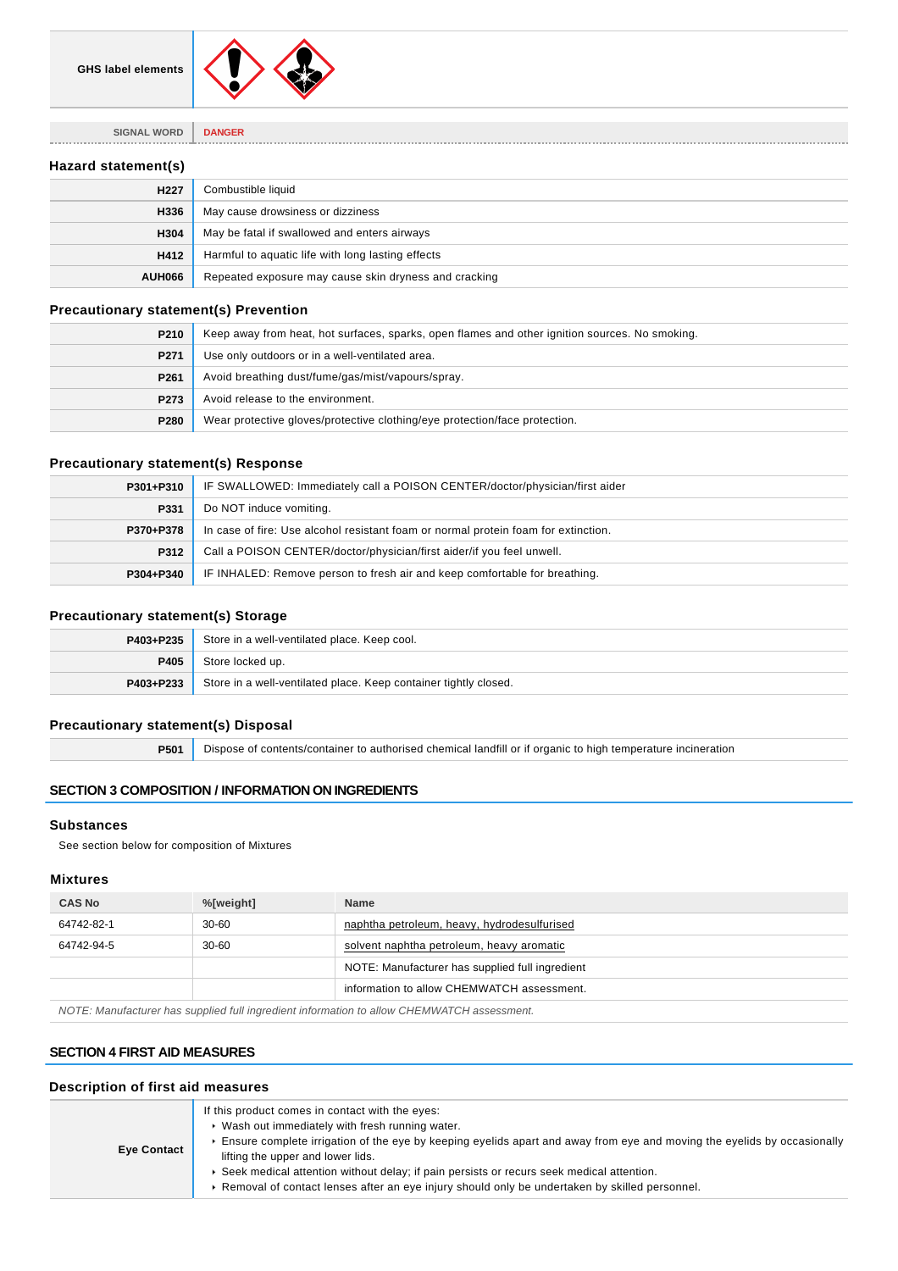

**SIGNAL WORD DANGER**

### **Hazard statement(s)**

| H <sub>227</sub> | Combustible liquid                                    |
|------------------|-------------------------------------------------------|
| H336             | May cause drowsiness or dizziness                     |
| H304             | May be fatal if swallowed and enters airways          |
| H412             | Harmful to aquatic life with long lasting effects     |
| <b>AUH066</b>    | Repeated exposure may cause skin dryness and cracking |

### **Precautionary statement(s) Prevention**

| P210             | Keep away from heat, hot surfaces, sparks, open flames and other ignition sources. No smoking. |  |
|------------------|------------------------------------------------------------------------------------------------|--|
| P271             | Use only outdoors or in a well-ventilated area.                                                |  |
| P <sub>261</sub> | Avoid breathing dust/fume/gas/mist/vapours/spray.                                              |  |
| P273             | Avoid release to the environment.                                                              |  |
| P280             | Wear protective gloves/protective clothing/eye protection/face protection.                     |  |

### **Precautionary statement(s) Response**

| P301+P310 | IF SWALLOWED: Immediately call a POISON CENTER/doctor/physician/first aider        |  |  |
|-----------|------------------------------------------------------------------------------------|--|--|
| P331      | Do NOT induce vomiting.                                                            |  |  |
| P370+P378 | In case of fire: Use alcohol resistant foam or normal protein foam for extinction. |  |  |
| P312      | Call a POISON CENTER/doctor/physician/first aider/if you feel unwell.              |  |  |
| P304+P340 | IF INHALED: Remove person to fresh air and keep comfortable for breathing.         |  |  |

### **Precautionary statement(s) Storage**

| P403+P235 | Store in a well-ventilated place. Keep cool.                     |  |
|-----------|------------------------------------------------------------------|--|
| P405      | Store locked up.                                                 |  |
| P403+P233 | Store in a well-ventilated place. Keep container tightly closed. |  |

### **Precautionary statement(s) Disposal**

**P501** Dispose of contents/container to authorised chemical landfill or if organic to high temperature incineration

### **SECTION 3 COMPOSITION / INFORMATION ON INGREDIENTS**

#### **Substances**

See section below for composition of Mixtures

### **Mixtures**

| <b>CAS No</b> | %[weight] | <b>Name</b>                                     |
|---------------|-----------|-------------------------------------------------|
| 64742-82-1    | $30-60$   | naphtha petroleum, heavy, hydrodesulfurised     |
| 64742-94-5    | $30 - 60$ | solvent naphtha petroleum, heavy aromatic       |
|               |           | NOTE: Manufacturer has supplied full ingredient |
|               |           | information to allow CHEMWATCH assessment.      |
|               |           |                                                 |

NOTE: Manufacturer has supplied full ingredient information to allow CHEMWATCH assessment.

### **SECTION 4 FIRST AID MEASURES**

### **Description of first aid measures**

| <b>Eye Contact</b> | If this product comes in contact with the eyes:<br>▶ Wash out immediately with fresh running water.<br>Ensure complete irrigation of the eye by keeping eyelids apart and away from eye and moving the eyelids by occasionally<br>lifting the upper and lower lids.<br>► Seek medical attention without delay; if pain persists or recurs seek medical attention.<br>► Removal of contact lenses after an eye injury should only be undertaken by skilled personnel. |
|--------------------|----------------------------------------------------------------------------------------------------------------------------------------------------------------------------------------------------------------------------------------------------------------------------------------------------------------------------------------------------------------------------------------------------------------------------------------------------------------------|
|--------------------|----------------------------------------------------------------------------------------------------------------------------------------------------------------------------------------------------------------------------------------------------------------------------------------------------------------------------------------------------------------------------------------------------------------------------------------------------------------------|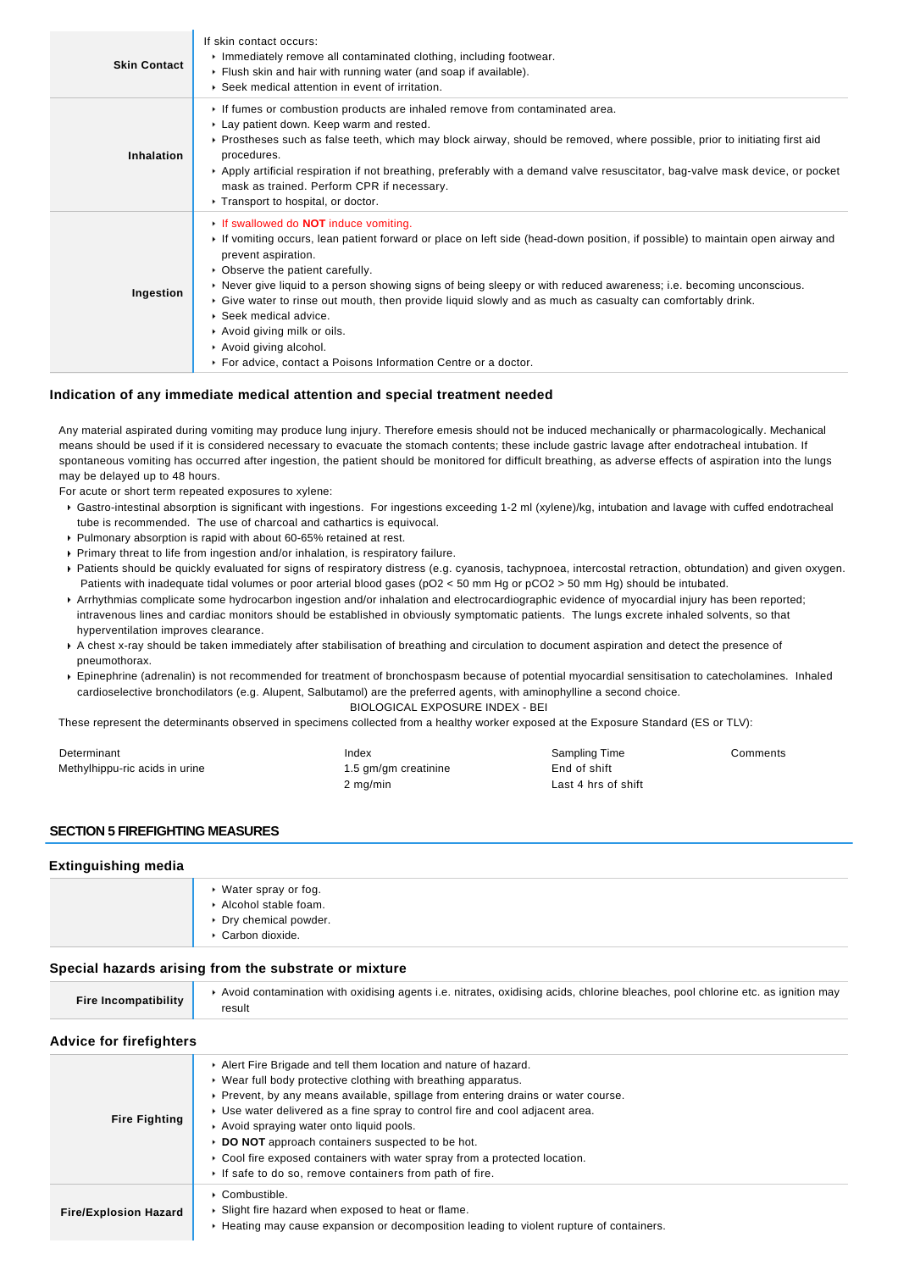| <b>Skin Contact</b> | If skin contact occurs:<br>Immediately remove all contaminated clothing, including footwear.<br>Flush skin and hair with running water (and soap if available).<br>▶ Seek medical attention in event of irritation.                                                                                                                                                                                                                                                                                                                                                                                                                          |
|---------------------|----------------------------------------------------------------------------------------------------------------------------------------------------------------------------------------------------------------------------------------------------------------------------------------------------------------------------------------------------------------------------------------------------------------------------------------------------------------------------------------------------------------------------------------------------------------------------------------------------------------------------------------------|
| <b>Inhalation</b>   | If fumes or combustion products are inhaled remove from contaminated area.<br>Lay patient down. Keep warm and rested.<br>► Prostheses such as false teeth, which may block airway, should be removed, where possible, prior to initiating first aid<br>procedures.<br>► Apply artificial respiration if not breathing, preferably with a demand valve resuscitator, bag-valve mask device, or pocket<br>mask as trained. Perform CPR if necessary.<br>Transport to hospital, or doctor.                                                                                                                                                      |
| Ingestion           | If swallowed do <b>NOT</b> induce vomiting.<br>If vomiting occurs, lean patient forward or place on left side (head-down position, if possible) to maintain open airway and<br>prevent aspiration.<br>• Observe the patient carefully.<br>► Never give liquid to a person showing signs of being sleepy or with reduced awareness; i.e. becoming unconscious.<br>$\triangleright$ Give water to rinse out mouth, then provide liquid slowly and as much as casualty can comfortably drink.<br>▶ Seek medical advice.<br>Avoid giving milk or oils.<br>Avoid giving alcohol.<br>For advice, contact a Poisons Information Centre or a doctor. |

#### **Indication of any immediate medical attention and special treatment needed**

Any material aspirated during vomiting may produce lung injury. Therefore emesis should not be induced mechanically or pharmacologically. Mechanical means should be used if it is considered necessary to evacuate the stomach contents; these include gastric lavage after endotracheal intubation. If spontaneous vomiting has occurred after ingestion, the patient should be monitored for difficult breathing, as adverse effects of aspiration into the lungs may be delayed up to 48 hours.

For acute or short term repeated exposures to xylene:

- Gastro-intestinal absorption is significant with ingestions. For ingestions exceeding 1-2 ml (xylene)/kg, intubation and lavage with cuffed endotracheal tube is recommended. The use of charcoal and cathartics is equivocal.
- Pulmonary absorption is rapid with about 60-65% retained at rest.
- Primary threat to life from ingestion and/or inhalation, is respiratory failure.
- Patients should be quickly evaluated for signs of respiratory distress (e.g. cyanosis, tachypnoea, intercostal retraction, obtundation) and given oxygen. Patients with inadequate tidal volumes or poor arterial blood gases (pO2 < 50 mm Hg or pCO2 > 50 mm Hg) should be intubated.
- Arrhythmias complicate some hydrocarbon ingestion and/or inhalation and electrocardiographic evidence of myocardial injury has been reported; intravenous lines and cardiac monitors should be established in obviously symptomatic patients. The lungs excrete inhaled solvents, so that hyperventilation improves clearance.
- A chest x-ray should be taken immediately after stabilisation of breathing and circulation to document aspiration and detect the presence of pneumothorax.
- Epinephrine (adrenalin) is not recommended for treatment of bronchospasm because of potential myocardial sensitisation to catecholamines. Inhaled cardioselective bronchodilators (e.g. Alupent, Salbutamol) are the preferred agents, with aminophylline a second choice. BIOLOGICAL EXPOSURE INDEX - BEI

These represent the determinants observed in specimens collected from a healthy worker exposed at the Exposure Standard (ES or TLV):

| Determinant                    | Index                | Sampling Time       | Comments |
|--------------------------------|----------------------|---------------------|----------|
| Methylhippu-ric acids in urine | 1.5 gm/gm creatinine | End of shift        |          |
|                                | 2 mg/min             | Last 4 hrs of shift |          |

#### **SECTION 5 FIREFIGHTING MEASURES**

### **Extinguishing media**

| ▶ Water spray or fog.<br>▶ Alcohol stable foam.<br>▶ Dry chemical powder.<br>▶ Carbon dioxide. |
|------------------------------------------------------------------------------------------------|
|------------------------------------------------------------------------------------------------|

### **Special hazards arising from the substrate or mixture**

| <b>Fire Incompatibility</b> | ▶ Avoid contamination with oxidising agents i.e. nitrates, oxidising acids, chlorine bleaches, pool chlorine etc. as ignition may |
|-----------------------------|-----------------------------------------------------------------------------------------------------------------------------------|
|                             | result                                                                                                                            |

#### **Advice for firefighters**

| <b>Fire Fighting</b>         | Alert Fire Brigade and tell them location and nature of hazard.<br>► Wear full body protective clothing with breathing apparatus.<br>▶ Prevent, by any means available, spillage from entering drains or water course.<br>► Use water delivered as a fine spray to control fire and cool adjacent area.<br>Avoid spraying water onto liquid pools.<br>▶ DO NOT approach containers suspected to be hot.<br>► Cool fire exposed containers with water spray from a protected location.<br>If safe to do so, remove containers from path of fire. |
|------------------------------|-------------------------------------------------------------------------------------------------------------------------------------------------------------------------------------------------------------------------------------------------------------------------------------------------------------------------------------------------------------------------------------------------------------------------------------------------------------------------------------------------------------------------------------------------|
| <b>Fire/Explosion Hazard</b> | • Combustible.<br>▶ Slight fire hazard when exposed to heat or flame.<br>► Heating may cause expansion or decomposition leading to violent rupture of containers.                                                                                                                                                                                                                                                                                                                                                                               |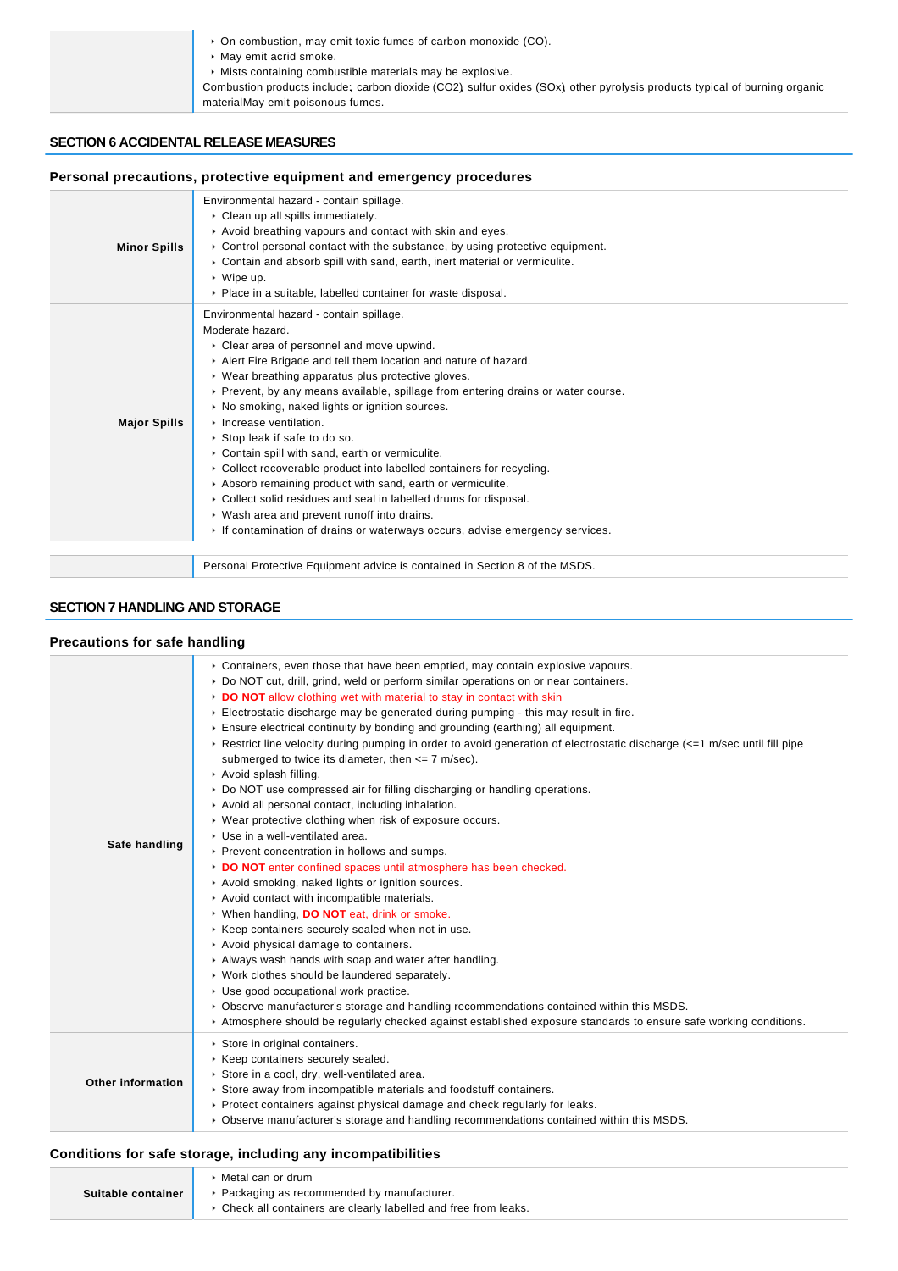| • On combustion, may emit toxic fumes of carbon monoxide (CO).                                                            |
|---------------------------------------------------------------------------------------------------------------------------|
| • May emit acrid smoke.                                                                                                   |
| • Mists containing combustible materials may be explosive.                                                                |
| Combustion products include; carbon dioxide (CO2) sulfur oxides (SOx) other pyrolysis products typical of burning organic |
| materialMay emit poisonous fumes.                                                                                         |

### **SECTION 6 ACCIDENTAL RELEASE MEASURES**

| Personal precautions, protective equipment and emergency procedures         |                                                                                                                                                                                                                                                                                                                                                                                                                                                                                                                                                                                                                                                                                                                                                                                                                           |  |
|-----------------------------------------------------------------------------|---------------------------------------------------------------------------------------------------------------------------------------------------------------------------------------------------------------------------------------------------------------------------------------------------------------------------------------------------------------------------------------------------------------------------------------------------------------------------------------------------------------------------------------------------------------------------------------------------------------------------------------------------------------------------------------------------------------------------------------------------------------------------------------------------------------------------|--|
| <b>Minor Spills</b>                                                         | Environmental hazard - contain spillage.<br>Clean up all spills immediately.<br>Avoid breathing vapours and contact with skin and eyes.<br>► Control personal contact with the substance, by using protective equipment.<br>Contain and absorb spill with sand, earth, inert material or vermiculite.<br>$\cdot$ Wipe up.<br>Place in a suitable, labelled container for waste disposal.                                                                                                                                                                                                                                                                                                                                                                                                                                  |  |
| <b>Major Spills</b>                                                         | Environmental hazard - contain spillage.<br>Moderate hazard.<br>Clear area of personnel and move upwind.<br>Alert Fire Brigade and tell them location and nature of hazard.<br>• Wear breathing apparatus plus protective gloves.<br>▶ Prevent, by any means available, spillage from entering drains or water course.<br>▶ No smoking, naked lights or ignition sources.<br>Increase ventilation.<br>▶ Stop leak if safe to do so.<br>Contain spill with sand, earth or vermiculite.<br>Collect recoverable product into labelled containers for recycling.<br>Absorb remaining product with sand, earth or vermiculite.<br>Collect solid residues and seal in labelled drums for disposal.<br>• Wash area and prevent runoff into drains.<br>If contamination of drains or waterways occurs, advise emergency services. |  |
| Personal Protective Equipment advice is contained in Section 8 of the MSDS. |                                                                                                                                                                                                                                                                                                                                                                                                                                                                                                                                                                                                                                                                                                                                                                                                                           |  |
| <b>SECTION 7 HANDLING AND STORAGE</b>                                       |                                                                                                                                                                                                                                                                                                                                                                                                                                                                                                                                                                                                                                                                                                                                                                                                                           |  |
| <b>Precautions for safe handling</b>                                        |                                                                                                                                                                                                                                                                                                                                                                                                                                                                                                                                                                                                                                                                                                                                                                                                                           |  |
|                                                                             | ► Containers, even those that have been emptied, may contain explosive vapours.<br>▶ Do NOT cut, drill, grind, weld or perform similar operations on or near containers.                                                                                                                                                                                                                                                                                                                                                                                                                                                                                                                                                                                                                                                  |  |

|  | <u>Pointer bay anny ginnay irona or portorini ominiar oporations on or noa</u> |  |  |
|--|--------------------------------------------------------------------------------|--|--|
|  | DO NOT allow clothing wet with material to stay in contact with skin           |  |  |

| Electrostatic discharge may be generated during pumping - this may result in fire. |  |  |
|------------------------------------------------------------------------------------|--|--|
| . Feausa alaatsiaal aastisuitu bu basalise asal esusalise (aastbise) all aauismast |  |  |

|--|

| Example 1 and T elective during pumping in order to avoid generation of electrostatic discharge $\epsilon$ =1 m/sec until fill pipe |
|-------------------------------------------------------------------------------------------------------------------------------------|
| submerged to twice its diameter, then $\leq$ 7 m/sec).                                                                              |

- Avoid splash filling.
- ▶ Do NOT use compressed air for filling discharging or handling operations.
- Avoid all personal contact, including inhalation.
- Wear protective clothing when risk of exposure occurs.
- Use in a well-ventilated area.
- **Safe handling** Prevent concentration in hollows and sumps.
	- **DO NOT** enter confined spaces until atmosphere has been checked.
	- Avoid smoking, naked lights or ignition sources.
	- Avoid contact with incompatible materials.
	- When handling, **DO NOT** eat, drink or smoke.
	- $\blacktriangleright$  Keep containers securely sealed when not in use.
	- Avoid physical damage to containers.
	- Always wash hands with soap and water after handling.
	- ▶ Work clothes should be laundered separately.
	- Use good occupational work practice.
		- Observe manufacturer's storage and handling recommendations contained within this MSDS.
	- Atmosphere should be regularly checked against established exposure standards to ensure safe working conditions.
	- Store in original containers.
	- $\blacktriangleright$  Keep containers securely sealed.
- **Other information** Store in a cool, dry, well-ventilated area.
	- Store away from incompatible materials and foodstuff containers.
		- Protect containers against physical damage and check regularly for leaks.
		- Observe manufacturer's storage and handling recommendations contained within this MSDS.

## **Conditions for safe storage, including any incompatibilities**

|                    | $\blacktriangleright$ Metal can or drum                          |
|--------------------|------------------------------------------------------------------|
| Suitable container | ▶ Packaging as recommended by manufacturer.                      |
|                    | ▶ Check all containers are clearly labelled and free from leaks. |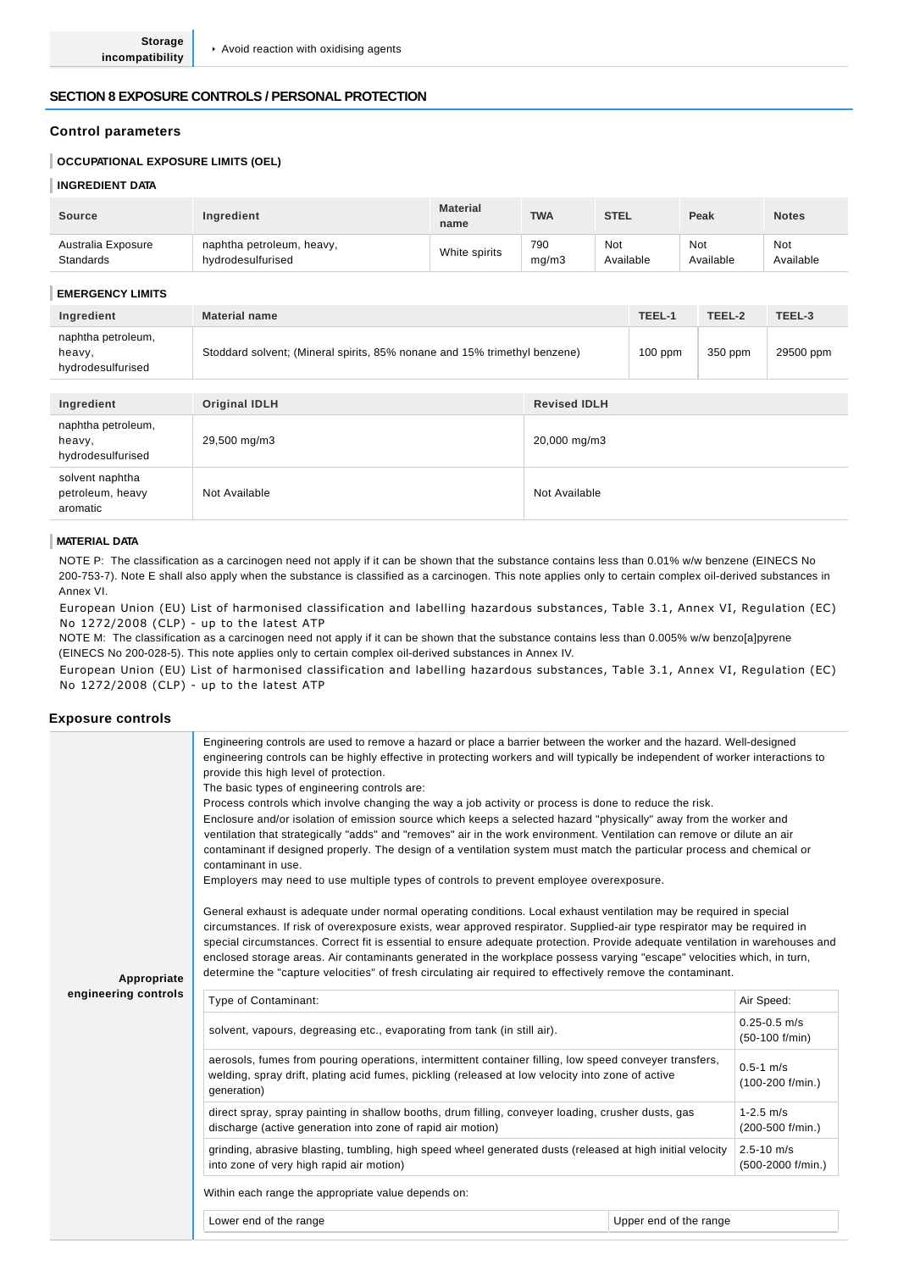#### **SECTION 8 EXPOSURE CONTROLS / PERSONAL PROTECTION**

#### **Control parameters**

#### **OCCUPATIONAL EXPOSURE LIMITS (OEL)**

#### **INGREDIENT DATA**

| <b>Source</b>      | Ingredient                | <b>Material</b><br>name | <b>TWA</b> | <b>STEL</b> | Peak      | <b>Notes</b> |
|--------------------|---------------------------|-------------------------|------------|-------------|-----------|--------------|
| Australia Exposure | naphtha petroleum, heavy, | White spirits           | 790        | Not         | Not       | Not          |
| <b>Standards</b>   | hydrodesulfurised         |                         | ma/m3      | Available   | Available | Available    |

#### **EMERGENCY LIMITS**

| Ingredient                                        | <b>Material name</b>                                                      | TEEL-1    | TEEL-2  | TEEL-3    |
|---------------------------------------------------|---------------------------------------------------------------------------|-----------|---------|-----------|
| naphtha petroleum,<br>heavy,<br>hydrodesulfurised | Stoddard solvent; (Mineral spirits, 85% nonane and 15% trimethyl benzene) | $100$ ppm | 350 ppm | 29500 ppm |

| Ingredient                                        | <b>Original IDLH</b> | <b>Revised IDLH</b> |
|---------------------------------------------------|----------------------|---------------------|
| naphtha petroleum,<br>heavy,<br>hydrodesulfurised | 29,500 mg/m3         | 20,000 mg/m3        |
| solvent naphtha<br>petroleum, heavy<br>aromatic   | Not Available        | Not Available       |

#### **MATERIAL DATA**

NOTE P: The classification as a carcinogen need not apply if it can be shown that the substance contains less than 0.01% w/w benzene (EINECS No 200-753-7). Note E shall also apply when the substance is classified as a carcinogen. This note applies only to certain complex oil-derived substances in Annex VI.

European Union (EU) List of harmonised classification and labelling hazardous substances, Table 3.1, Annex VI, Regulation (EC) No 1272/2008 (CLP) - up to the latest ATP

NOTE M: The classification as a carcinogen need not apply if it can be shown that the substance contains less than 0.005% w/w benzo[a]pyrene (EINECS No 200-028-5). This note applies only to certain complex oil-derived substances in Annex IV.

European Union (EU) List of harmonised classification and labelling hazardous substances, Table 3.1, Annex VI, Regulation (EC) No 1272/2008 (CLP) - up to the latest ATP

#### **Exposure controls**

| Appropriate<br>engineering controls | Engineering controls are used to remove a hazard or place a barrier between the worker and the hazard. Well-designed<br>engineering controls can be highly effective in protecting workers and will typically be independent of worker interactions to<br>provide this high level of protection.<br>The basic types of engineering controls are:<br>Process controls which involve changing the way a job activity or process is done to reduce the risk.<br>Enclosure and/or isolation of emission source which keeps a selected hazard "physically" away from the worker and<br>ventilation that strategically "adds" and "removes" air in the work environment. Ventilation can remove or dilute an air<br>contaminant if designed properly. The design of a ventilation system must match the particular process and chemical or<br>contaminant in use.<br>Employers may need to use multiple types of controls to prevent employee overexposure.<br>General exhaust is adequate under normal operating conditions. Local exhaust ventilation may be required in special<br>circumstances. If risk of overexposure exists, wear approved respirator. Supplied-air type respirator may be required in<br>special circumstances. Correct fit is essential to ensure adequate protection. Provide adequate ventilation in warehouses and<br>enclosed storage areas. Air contaminants generated in the workplace possess varying "escape" velocities which, in turn,<br>determine the "capture velocities" of fresh circulating air required to effectively remove the contaminant. |  |                                      |                                       |
|-------------------------------------|-------------------------------------------------------------------------------------------------------------------------------------------------------------------------------------------------------------------------------------------------------------------------------------------------------------------------------------------------------------------------------------------------------------------------------------------------------------------------------------------------------------------------------------------------------------------------------------------------------------------------------------------------------------------------------------------------------------------------------------------------------------------------------------------------------------------------------------------------------------------------------------------------------------------------------------------------------------------------------------------------------------------------------------------------------------------------------------------------------------------------------------------------------------------------------------------------------------------------------------------------------------------------------------------------------------------------------------------------------------------------------------------------------------------------------------------------------------------------------------------------------------------------------------------------------------------------------------|--|--------------------------------------|---------------------------------------|
|                                     | Type of Contaminant:                                                                                                                                                                                                                                                                                                                                                                                                                                                                                                                                                                                                                                                                                                                                                                                                                                                                                                                                                                                                                                                                                                                                                                                                                                                                                                                                                                                                                                                                                                                                                                |  |                                      | Air Speed:                            |
|                                     | solvent, vapours, degreasing etc., evaporating from tank (in still air).                                                                                                                                                                                                                                                                                                                                                                                                                                                                                                                                                                                                                                                                                                                                                                                                                                                                                                                                                                                                                                                                                                                                                                                                                                                                                                                                                                                                                                                                                                            |  |                                      | $0.25 - 0.5$ m/s<br>$(50-100)$ f/min) |
|                                     | aerosols, fumes from pouring operations, intermittent container filling, low speed conveyer transfers,<br>welding, spray drift, plating acid fumes, pickling (released at low velocity into zone of active<br>generation)                                                                                                                                                                                                                                                                                                                                                                                                                                                                                                                                                                                                                                                                                                                                                                                                                                                                                                                                                                                                                                                                                                                                                                                                                                                                                                                                                           |  | $0.5 - 1$ m/s<br>$(100-200)$ f/min.) |                                       |
|                                     | direct spray, spray painting in shallow booths, drum filling, conveyer loading, crusher dusts, gas<br>discharge (active generation into zone of rapid air motion)                                                                                                                                                                                                                                                                                                                                                                                                                                                                                                                                                                                                                                                                                                                                                                                                                                                                                                                                                                                                                                                                                                                                                                                                                                                                                                                                                                                                                   |  | $1 - 2.5$ m/s<br>(200-500 f/min.)    |                                       |
|                                     | grinding, abrasive blasting, tumbling, high speed wheel generated dusts (released at high initial velocity<br>into zone of very high rapid air motion)                                                                                                                                                                                                                                                                                                                                                                                                                                                                                                                                                                                                                                                                                                                                                                                                                                                                                                                                                                                                                                                                                                                                                                                                                                                                                                                                                                                                                              |  |                                      | $2.5 - 10$ m/s<br>(500-2000 f/min.)   |
|                                     | Within each range the appropriate value depends on:                                                                                                                                                                                                                                                                                                                                                                                                                                                                                                                                                                                                                                                                                                                                                                                                                                                                                                                                                                                                                                                                                                                                                                                                                                                                                                                                                                                                                                                                                                                                 |  |                                      |                                       |
|                                     | Lower end of the range                                                                                                                                                                                                                                                                                                                                                                                                                                                                                                                                                                                                                                                                                                                                                                                                                                                                                                                                                                                                                                                                                                                                                                                                                                                                                                                                                                                                                                                                                                                                                              |  | Upper end of the range               |                                       |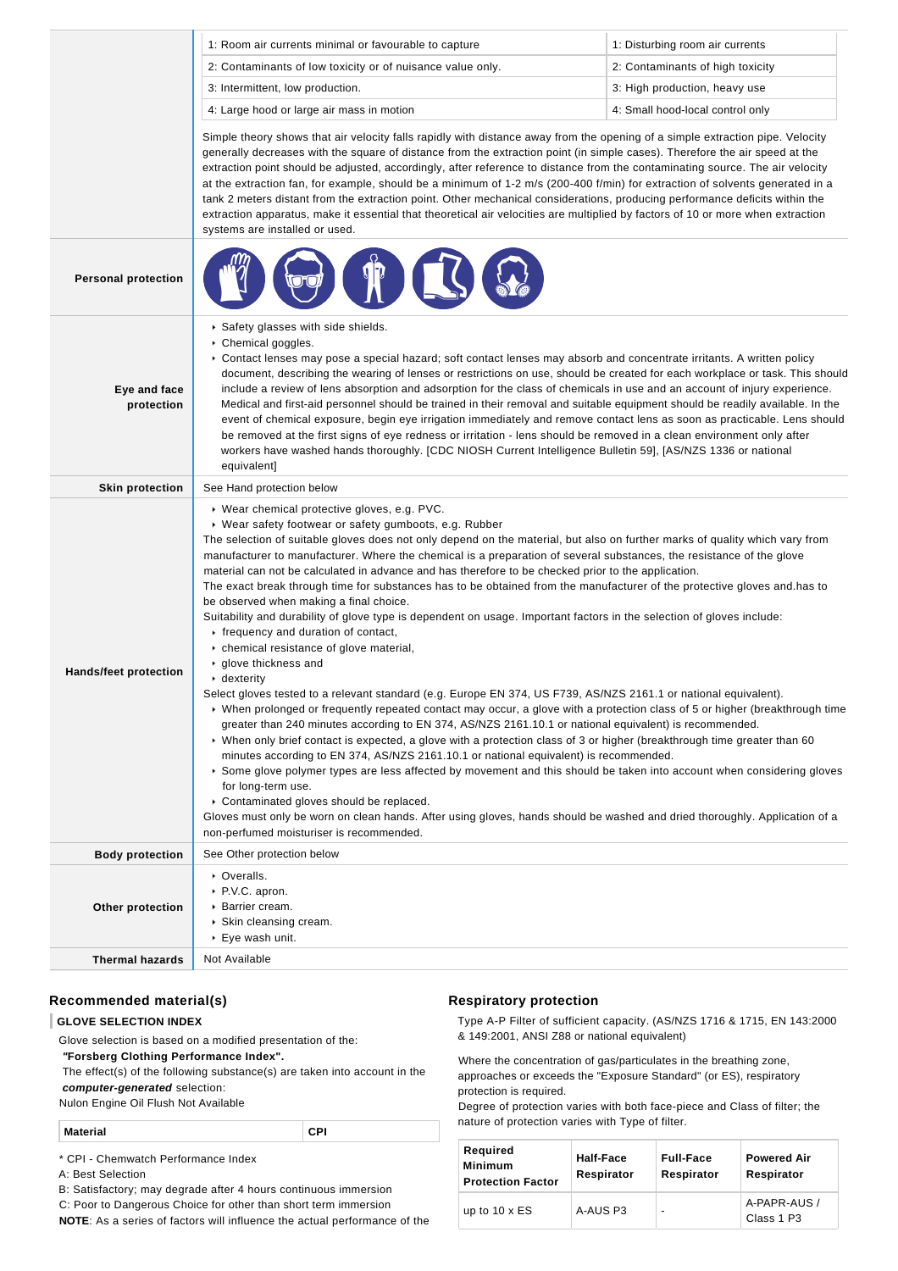|                              | 1: Room air currents minimal or favourable to capture                                                                                                                                                                                                                                                                                                                                                                                                                                                                                                                                                                                                                                                                                                                                                                                                                                                                                                                                                                                                                                                                                                                                                                                                                                                                                                                                                                                                                                                                                                                                                                                                                                                                                                                                                                                                              | 1: Disturbing room air currents  |
|------------------------------|--------------------------------------------------------------------------------------------------------------------------------------------------------------------------------------------------------------------------------------------------------------------------------------------------------------------------------------------------------------------------------------------------------------------------------------------------------------------------------------------------------------------------------------------------------------------------------------------------------------------------------------------------------------------------------------------------------------------------------------------------------------------------------------------------------------------------------------------------------------------------------------------------------------------------------------------------------------------------------------------------------------------------------------------------------------------------------------------------------------------------------------------------------------------------------------------------------------------------------------------------------------------------------------------------------------------------------------------------------------------------------------------------------------------------------------------------------------------------------------------------------------------------------------------------------------------------------------------------------------------------------------------------------------------------------------------------------------------------------------------------------------------------------------------------------------------------------------------------------------------|----------------------------------|
|                              | 2: Contaminants of low toxicity or of nuisance value only.                                                                                                                                                                                                                                                                                                                                                                                                                                                                                                                                                                                                                                                                                                                                                                                                                                                                                                                                                                                                                                                                                                                                                                                                                                                                                                                                                                                                                                                                                                                                                                                                                                                                                                                                                                                                         | 2: Contaminants of high toxicity |
|                              | 3: Intermittent, low production.                                                                                                                                                                                                                                                                                                                                                                                                                                                                                                                                                                                                                                                                                                                                                                                                                                                                                                                                                                                                                                                                                                                                                                                                                                                                                                                                                                                                                                                                                                                                                                                                                                                                                                                                                                                                                                   | 3: High production, heavy use    |
|                              | 4: Large hood or large air mass in motion                                                                                                                                                                                                                                                                                                                                                                                                                                                                                                                                                                                                                                                                                                                                                                                                                                                                                                                                                                                                                                                                                                                                                                                                                                                                                                                                                                                                                                                                                                                                                                                                                                                                                                                                                                                                                          | 4: Small hood-local control only |
|                              | Simple theory shows that air velocity falls rapidly with distance away from the opening of a simple extraction pipe. Velocity<br>generally decreases with the square of distance from the extraction point (in simple cases). Therefore the air speed at the<br>extraction point should be adjusted, accordingly, after reference to distance from the contaminating source. The air velocity<br>at the extraction fan, for example, should be a minimum of 1-2 m/s (200-400 f/min) for extraction of solvents generated in a<br>tank 2 meters distant from the extraction point. Other mechanical considerations, producing performance deficits within the<br>extraction apparatus, make it essential that theoretical air velocities are multiplied by factors of 10 or more when extraction<br>systems are installed or used.                                                                                                                                                                                                                                                                                                                                                                                                                                                                                                                                                                                                                                                                                                                                                                                                                                                                                                                                                                                                                                  |                                  |
| <b>Personal protection</b>   |                                                                                                                                                                                                                                                                                                                                                                                                                                                                                                                                                                                                                                                                                                                                                                                                                                                                                                                                                                                                                                                                                                                                                                                                                                                                                                                                                                                                                                                                                                                                                                                                                                                                                                                                                                                                                                                                    |                                  |
| Eye and face<br>protection   | Safety glasses with side shields.<br>▶ Chemical goggles.<br>▶ Contact lenses may pose a special hazard; soft contact lenses may absorb and concentrate irritants. A written policy<br>document, describing the wearing of lenses or restrictions on use, should be created for each workplace or task. This should<br>include a review of lens absorption and adsorption for the class of chemicals in use and an account of injury experience.<br>Medical and first-aid personnel should be trained in their removal and suitable equipment should be readily available. In the<br>event of chemical exposure, begin eye irrigation immediately and remove contact lens as soon as practicable. Lens should<br>be removed at the first signs of eye redness or irritation - lens should be removed in a clean environment only after<br>workers have washed hands thoroughly. [CDC NIOSH Current Intelligence Bulletin 59], [AS/NZS 1336 or national<br>equivalent]                                                                                                                                                                                                                                                                                                                                                                                                                                                                                                                                                                                                                                                                                                                                                                                                                                                                                               |                                  |
| <b>Skin protection</b>       | See Hand protection below                                                                                                                                                                                                                                                                                                                                                                                                                                                                                                                                                                                                                                                                                                                                                                                                                                                                                                                                                                                                                                                                                                                                                                                                                                                                                                                                                                                                                                                                                                                                                                                                                                                                                                                                                                                                                                          |                                  |
| <b>Hands/feet protection</b> | ▶ Wear chemical protective gloves, e.g. PVC.<br>▶ Wear safety footwear or safety gumboots, e.g. Rubber<br>The selection of suitable gloves does not only depend on the material, but also on further marks of quality which vary from<br>manufacturer to manufacturer. Where the chemical is a preparation of several substances, the resistance of the glove<br>material can not be calculated in advance and has therefore to be checked prior to the application.<br>The exact break through time for substances has to be obtained from the manufacturer of the protective gloves and has to<br>be observed when making a final choice.<br>Suitability and durability of glove type is dependent on usage. Important factors in the selection of gloves include:<br>$\cdot$ frequency and duration of contact,<br>• chemical resistance of glove material,<br>▶ glove thickness and<br>$\cdot$ dexterity<br>Select gloves tested to a relevant standard (e.g. Europe EN 374, US F739, AS/NZS 2161.1 or national equivalent).<br>► When prolonged or frequently repeated contact may occur, a glove with a protection class of 5 or higher (breakthrough time<br>greater than 240 minutes according to EN 374, AS/NZS 2161.10.1 or national equivalent) is recommended.<br>• When only brief contact is expected, a glove with a protection class of 3 or higher (breakthrough time greater than 60<br>minutes according to EN 374, AS/NZS 2161.10.1 or national equivalent) is recommended.<br>Some glove polymer types are less affected by movement and this should be taken into account when considering gloves<br>for long-term use.<br>Contaminated gloves should be replaced.<br>Gloves must only be worn on clean hands. After using gloves, hands should be washed and dried thoroughly. Application of a<br>non-perfumed moisturiser is recommended. |                                  |
| <b>Body protection</b>       | See Other protection below                                                                                                                                                                                                                                                                                                                                                                                                                                                                                                                                                                                                                                                                                                                                                                                                                                                                                                                                                                                                                                                                                                                                                                                                                                                                                                                                                                                                                                                                                                                                                                                                                                                                                                                                                                                                                                         |                                  |
| Other protection             | • Overalls.<br>▶ P.V.C. apron.<br>▶ Barrier cream.<br>▶ Skin cleansing cream.<br>▶ Eye wash unit.                                                                                                                                                                                                                                                                                                                                                                                                                                                                                                                                                                                                                                                                                                                                                                                                                                                                                                                                                                                                                                                                                                                                                                                                                                                                                                                                                                                                                                                                                                                                                                                                                                                                                                                                                                  |                                  |
| <b>Thermal hazards</b>       | Not Available                                                                                                                                                                                                                                                                                                                                                                                                                                                                                                                                                                                                                                                                                                                                                                                                                                                                                                                                                                                                                                                                                                                                                                                                                                                                                                                                                                                                                                                                                                                                                                                                                                                                                                                                                                                                                                                      |                                  |

### **Recommended material(s)**

#### **GLOVE SELECTION INDEX**

Glove selection is based on a modified presentation of the:

 **"Forsberg Clothing Performance Index".**

 The effect(s) of the following substance(s) are taken into account in the **computer-generated** selection:

Nulon Engine Oil Flush Not Available

|  | <b>Material</b> |  |
|--|-----------------|--|
|--|-----------------|--|

\* CPI - Chemwatch Performance Index

A: Best Selection

B: Satisfactory; may degrade after 4 hours continuous immersion

C: Poor to Dangerous Choice for other than short term immersion

**NOTE**: As a series of factors will influence the actual performance of the

### **Respiratory protection**

Type A-P Filter of sufficient capacity. (AS/NZS 1716 & 1715, EN 143:2000 & 149:2001, ANSI Z88 or national equivalent)

Where the concentration of gas/particulates in the breathing zone, approaches or exceeds the "Exposure Standard" (or ES), respiratory protection is required.

Degree of protection varies with both face-piece and Class of filter; the nature of protection varies with Type of filter.

| Required<br><b>Minimum</b><br><b>Protection Factor</b> | Half-Face<br>Respirator | <b>Full-Face</b><br>Respirator | <b>Powered Air</b><br>Respirator |
|--------------------------------------------------------|-------------------------|--------------------------------|----------------------------------|
| up to $10 \times ES$                                   | A-AUS P3                |                                | A-PAPR-AUS /<br>Class 1 P3       |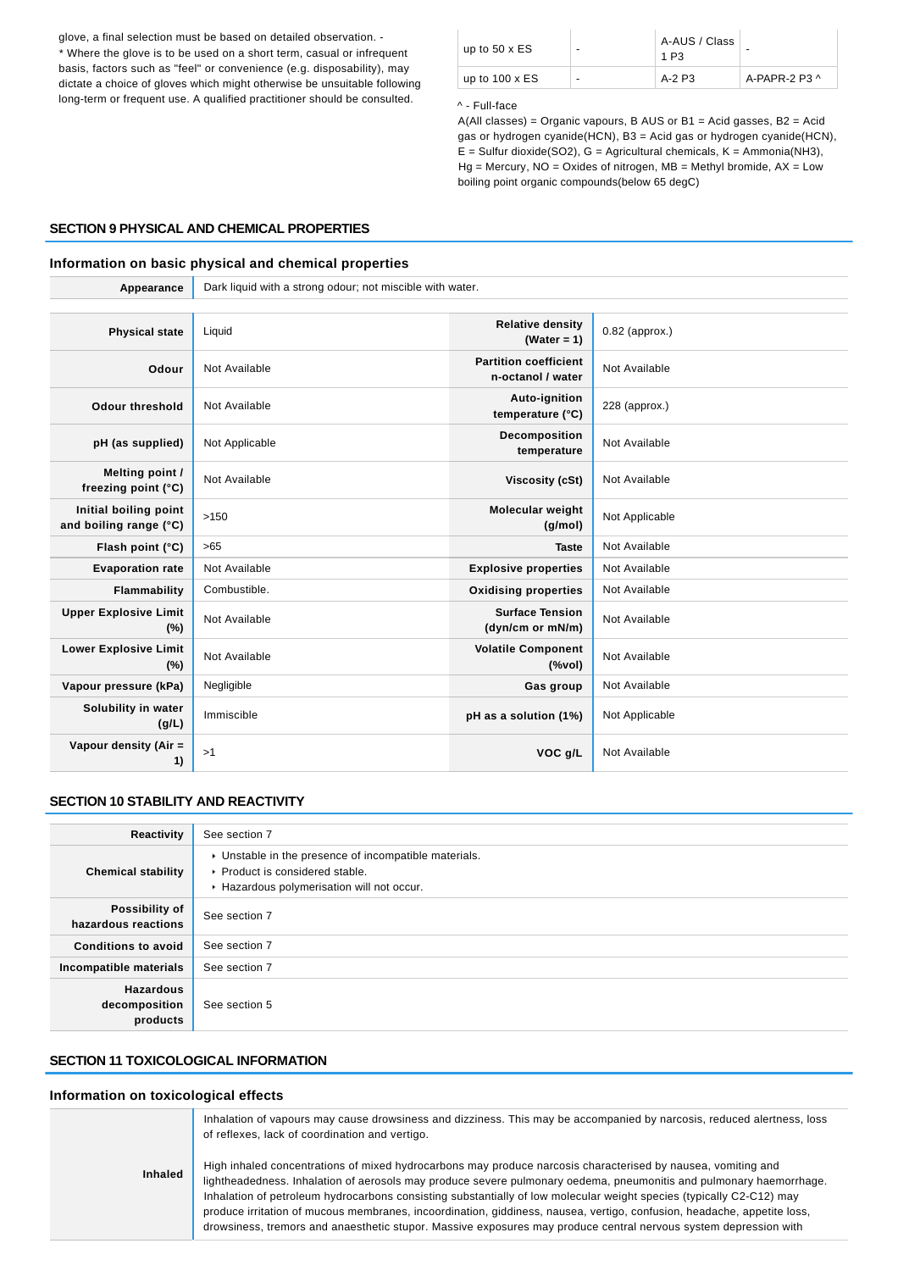glove, a final selection must be based on detailed observation. - \* Where the glove is to be used on a short term, casual or infrequent basis, factors such as "feel" or convenience (e.g. disposability), may dictate a choice of gloves which might otherwise be unsuitable following long-term or frequent use. A qualified practitioner should be consulted.

| up to $50 \times ES$  | $\overline{\phantom{0}}$ | A-AUS / Class<br>1 P3 | -                   |
|-----------------------|--------------------------|-----------------------|---------------------|
| up to $100 \times ES$ | $\overline{\phantom{0}}$ | A-2 P3                | A-PAPR-2 P3 $\land$ |

#### ^ - Full-face

A(All classes) = Organic vapours, B AUS or B1 = Acid gasses, B2 = Acid gas or hydrogen cyanide(HCN), B3 = Acid gas or hydrogen cyanide(HCN),  $E =$  Sulfur dioxide(SO2), G = Agricultural chemicals, K = Ammonia(NH3),  $Hg =$  Mercury, NO = Oxides of nitrogen, MB = Methyl bromide, AX = Low boiling point organic compounds(below 65 degC)

#### **SECTION 9 PHYSICAL AND CHEMICAL PROPERTIES**

### **Information on basic physical and chemical properties**

**Appearance** Dark liquid with a strong odour; not miscible with water.

| <b>Physical state</b>                           | Liquid         | <b>Relative density</b><br>(Water = $1$ )                                     | $0.82$ (approx.) |
|-------------------------------------------------|----------------|-------------------------------------------------------------------------------|------------------|
| Odour                                           | Not Available  | <b>Partition coefficient</b><br>n-octanol / water                             | Not Available    |
| <b>Odour threshold</b>                          | Not Available  | Auto-ignition<br>temperature (°C)                                             | $228$ (approx.)  |
| pH (as supplied)                                | Not Applicable | Decomposition<br>temperature                                                  | Not Available    |
| Melting point /<br>freezing point (°C)          | Not Available  | Viscosity (cSt)                                                               | Not Available    |
| Initial boiling point<br>and boiling range (°C) | >150           | Molecular weight<br>(g/mol)                                                   | Not Applicable   |
| Flash point (°C)                                | >65            | <b>Taste</b>                                                                  | Not Available    |
| <b>Evaporation rate</b>                         | Not Available  | <b>Explosive properties</b>                                                   | Not Available    |
| Flammability                                    | Combustible.   | <b>Oxidising properties</b>                                                   | Not Available    |
| <b>Upper Explosive Limit</b><br>(%)             | Not Available  | <b>Surface Tension</b><br>(dyn/cm or mN/m)                                    | Not Available    |
| <b>Lower Explosive Limit</b><br>(%)             | Not Available  | <b>Volatile Component</b><br>$(% \mathcal{L}^{\prime }\mathcal{N}^{\prime })$ | Not Available    |
| Vapour pressure (kPa)                           | Negligible     | Gas group                                                                     | Not Available    |
| Solubility in water<br>(g/L)                    | Immiscible     | pH as a solution (1%)                                                         | Not Applicable   |
| Vapour density (Air =<br>1)                     | >1             | VOC g/L                                                                       | Not Available    |

#### **SECTION 10 STABILITY AND REACTIVITY**

| Reactivity                                    | See section 7                                                                                                                        |
|-----------------------------------------------|--------------------------------------------------------------------------------------------------------------------------------------|
| <b>Chemical stability</b>                     | • Unstable in the presence of incompatible materials.<br>▶ Product is considered stable.<br>Hazardous polymerisation will not occur. |
| Possibility of<br>hazardous reactions         | See section 7                                                                                                                        |
| <b>Conditions to avoid</b>                    | See section 7                                                                                                                        |
| Incompatible materials                        | See section 7                                                                                                                        |
| <b>Hazardous</b><br>decomposition<br>products | See section 5                                                                                                                        |

#### **SECTION 11 TOXICOLOGICAL INFORMATION**

#### **Information on toxicological effects**

|         | Inhalation of vapours may cause drowsiness and dizziness. This may be accompanied by narcosis, reduced alertness, loss<br>of reflexes, lack of coordination and vertigo.                                                                                                                                                                                                                                                                                                                                                                                                                                   |
|---------|------------------------------------------------------------------------------------------------------------------------------------------------------------------------------------------------------------------------------------------------------------------------------------------------------------------------------------------------------------------------------------------------------------------------------------------------------------------------------------------------------------------------------------------------------------------------------------------------------------|
| Inhaled | High inhaled concentrations of mixed hydrocarbons may produce narcosis characterised by nausea, vomiting and<br>lightheadedness. Inhalation of aerosols may produce severe pulmonary oedema, pneumonitis and pulmonary haemorrhage.<br>Inhalation of petroleum hydrocarbons consisting substantially of low molecular weight species (typically C2-C12) may<br>produce irritation of mucous membranes, incoordination, giddiness, nausea, vertigo, confusion, headache, appetite loss,<br>drowsiness, tremors and anaesthetic stupor. Massive exposures may produce central nervous system depression with |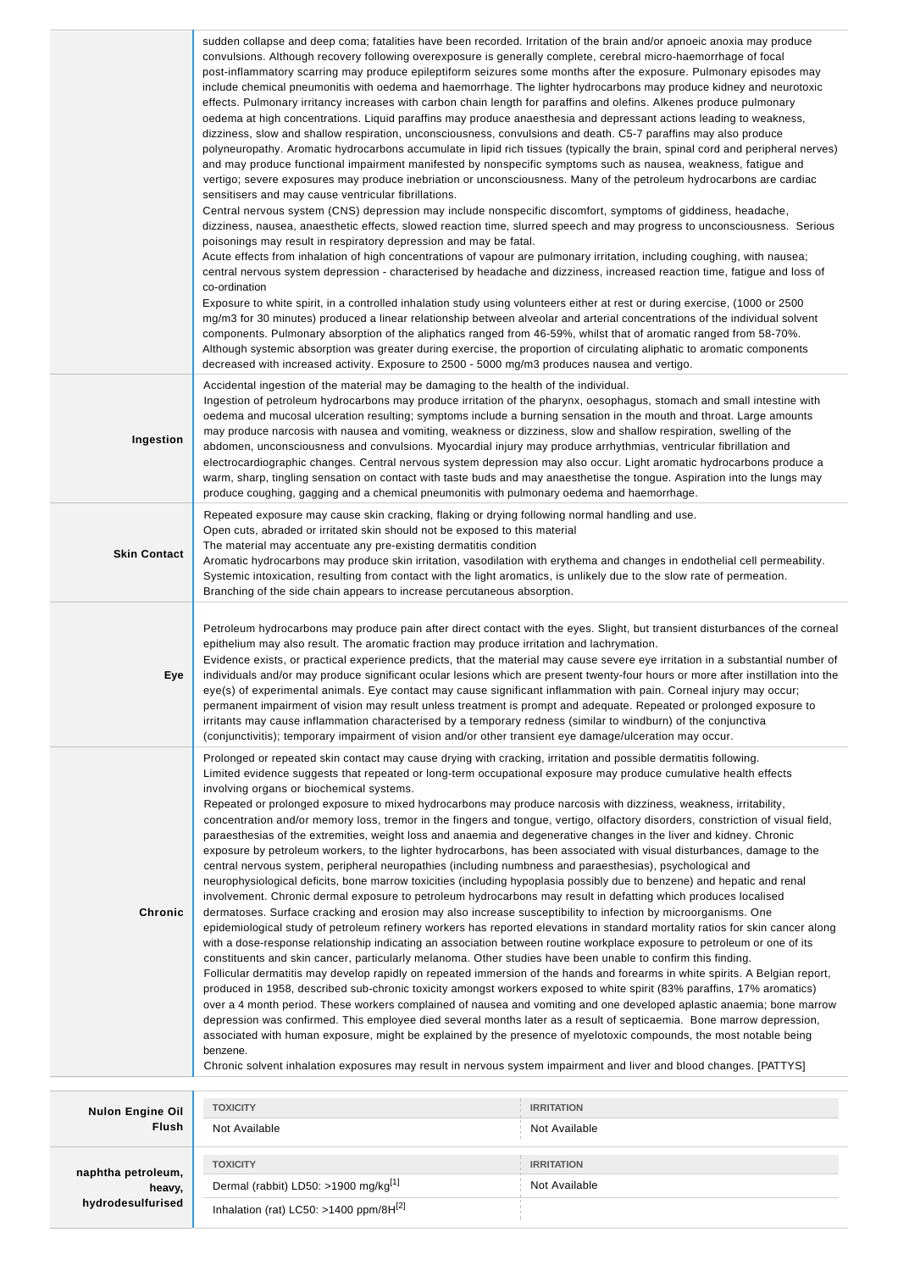|                         | convulsions. Although recovery following overexposure is generally complete, cerebral micro-haemorrhage of focal<br>post-inflammatory scarring may produce epileptiform seizures some months after the exposure. Pulmonary episodes may<br>include chemical pneumonitis with oedema and haemorrhage. The lighter hydrocarbons may produce kidney and neurotoxic<br>effects. Pulmonary irritancy increases with carbon chain length for paraffins and olefins. Alkenes produce pulmonary<br>oedema at high concentrations. Liquid paraffins may produce anaesthesia and depressant actions leading to weakness,<br>dizziness, slow and shallow respiration, unconsciousness, convulsions and death. C5-7 paraffins may also produce<br>polyneuropathy. Aromatic hydrocarbons accumulate in lipid rich tissues (typically the brain, spinal cord and peripheral nerves)<br>and may produce functional impairment manifested by nonspecific symptoms such as nausea, weakness, fatigue and<br>vertigo; severe exposures may produce inebriation or unconsciousness. Many of the petroleum hydrocarbons are cardiac<br>sensitisers and may cause ventricular fibrillations.<br>Central nervous system (CNS) depression may include nonspecific discomfort, symptoms of giddiness, headache,<br>dizziness, nausea, anaesthetic effects, slowed reaction time, slurred speech and may progress to unconsciousness. Serious<br>poisonings may result in respiratory depression and may be fatal.<br>Acute effects from inhalation of high concentrations of vapour are pulmonary irritation, including coughing, with nausea;<br>central nervous system depression - characterised by headache and dizziness, increased reaction time, fatigue and loss of<br>co-ordination<br>Exposure to white spirit, in a controlled inhalation study using volunteers either at rest or during exercise, (1000 or 2500<br>mg/m3 for 30 minutes) produced a linear relationship between alveolar and arterial concentrations of the individual solvent<br>components. Pulmonary absorption of the aliphatics ranged from 46-59%, whilst that of aromatic ranged from 58-70%.<br>Although systemic absorption was greater during exercise, the proportion of circulating aliphatic to aromatic components<br>decreased with increased activity. Exposure to 2500 - 5000 mg/m3 produces nausea and vertigo.                                        |                   |  |
|-------------------------|-------------------------------------------------------------------------------------------------------------------------------------------------------------------------------------------------------------------------------------------------------------------------------------------------------------------------------------------------------------------------------------------------------------------------------------------------------------------------------------------------------------------------------------------------------------------------------------------------------------------------------------------------------------------------------------------------------------------------------------------------------------------------------------------------------------------------------------------------------------------------------------------------------------------------------------------------------------------------------------------------------------------------------------------------------------------------------------------------------------------------------------------------------------------------------------------------------------------------------------------------------------------------------------------------------------------------------------------------------------------------------------------------------------------------------------------------------------------------------------------------------------------------------------------------------------------------------------------------------------------------------------------------------------------------------------------------------------------------------------------------------------------------------------------------------------------------------------------------------------------------------------------------------------------------------------------------------------------------------------------------------------------------------------------------------------------------------------------------------------------------------------------------------------------------------------------------------------------------------------------------------------------------------------------------------------------------------------------------------------------------------------------------------------------------------|-------------------|--|
| Ingestion               | Accidental ingestion of the material may be damaging to the health of the individual.<br>Ingestion of petroleum hydrocarbons may produce irritation of the pharynx, oesophagus, stomach and small intestine with<br>oedema and mucosal ulceration resulting; symptoms include a burning sensation in the mouth and throat. Large amounts<br>may produce narcosis with nausea and vomiting, weakness or dizziness, slow and shallow respiration, swelling of the<br>abdomen, unconsciousness and convulsions. Myocardial injury may produce arrhythmias, ventricular fibrillation and<br>electrocardiographic changes. Central nervous system depression may also occur. Light aromatic hydrocarbons produce a<br>warm, sharp, tingling sensation on contact with taste buds and may anaesthetise the tongue. Aspiration into the lungs may<br>produce coughing, gagging and a chemical pneumonitis with pulmonary oedema and haemorrhage.                                                                                                                                                                                                                                                                                                                                                                                                                                                                                                                                                                                                                                                                                                                                                                                                                                                                                                                                                                                                                                                                                                                                                                                                                                                                                                                                                                                                                                                                                     |                   |  |
| <b>Skin Contact</b>     | Repeated exposure may cause skin cracking, flaking or drying following normal handling and use.<br>Open cuts, abraded or irritated skin should not be exposed to this material<br>The material may accentuate any pre-existing dermatitis condition<br>Aromatic hydrocarbons may produce skin irritation, vasodilation with erythema and changes in endothelial cell permeability.<br>Systemic intoxication, resulting from contact with the light aromatics, is unlikely due to the slow rate of permeation.<br>Branching of the side chain appears to increase percutaneous absorption.                                                                                                                                                                                                                                                                                                                                                                                                                                                                                                                                                                                                                                                                                                                                                                                                                                                                                                                                                                                                                                                                                                                                                                                                                                                                                                                                                                                                                                                                                                                                                                                                                                                                                                                                                                                                                                     |                   |  |
| Eye                     | Petroleum hydrocarbons may produce pain after direct contact with the eyes. Slight, but transient disturbances of the corneal<br>epithelium may also result. The aromatic fraction may produce irritation and lachrymation.<br>Evidence exists, or practical experience predicts, that the material may cause severe eye irritation in a substantial number of<br>individuals and/or may produce significant ocular lesions which are present twenty-four hours or more after instillation into the<br>eye(s) of experimental animals. Eye contact may cause significant inflammation with pain. Corneal injury may occur;<br>permanent impairment of vision may result unless treatment is prompt and adequate. Repeated or prolonged exposure to<br>irritants may cause inflammation characterised by a temporary redness (similar to windburn) of the conjunctiva<br>(conjunctivitis); temporary impairment of vision and/or other transient eye damage/ulceration may occur.                                                                                                                                                                                                                                                                                                                                                                                                                                                                                                                                                                                                                                                                                                                                                                                                                                                                                                                                                                                                                                                                                                                                                                                                                                                                                                                                                                                                                                              |                   |  |
| Chronic                 | Prolonged or repeated skin contact may cause drying with cracking, irritation and possible dermatitis following.<br>Limited evidence suggests that repeated or long-term occupational exposure may produce cumulative health effects<br>involving organs or biochemical systems.<br>Repeated or prolonged exposure to mixed hydrocarbons may produce narcosis with dizziness, weakness, irritability,<br>concentration and/or memory loss, tremor in the fingers and tongue, vertigo, olfactory disorders, constriction of visual field,<br>paraesthesias of the extremities, weight loss and anaemia and degenerative changes in the liver and kidney. Chronic<br>exposure by petroleum workers, to the lighter hydrocarbons, has been associated with visual disturbances, damage to the<br>central nervous system, peripheral neuropathies (including numbness and paraesthesias), psychological and<br>neurophysiological deficits, bone marrow toxicities (including hypoplasia possibly due to benzene) and hepatic and renal<br>involvement. Chronic dermal exposure to petroleum hydrocarbons may result in defatting which produces localised<br>dermatoses. Surface cracking and erosion may also increase susceptibility to infection by microorganisms. One<br>epidemiological study of petroleum refinery workers has reported elevations in standard mortality ratios for skin cancer along<br>with a dose-response relationship indicating an association between routine workplace exposure to petroleum or one of its<br>constituents and skin cancer, particularly melanoma. Other studies have been unable to confirm this finding.<br>Follicular dermatitis may develop rapidly on repeated immersion of the hands and forearms in white spirits. A Belgian report,<br>produced in 1958, described sub-chronic toxicity amongst workers exposed to white spirit (83% paraffins, 17% aromatics)<br>over a 4 month period. These workers complained of nausea and vomiting and one developed aplastic anaemia; bone marrow<br>depression was confirmed. This employee died several months later as a result of septicaemia. Bone marrow depression,<br>associated with human exposure, might be explained by the presence of myelotoxic compounds, the most notable being<br>benzene.<br>Chronic solvent inhalation exposures may result in nervous system impairment and liver and blood changes. [PATTYS] |                   |  |
| <b>Nulon Engine Oil</b> | <b>TOXICITY</b>                                                                                                                                                                                                                                                                                                                                                                                                                                                                                                                                                                                                                                                                                                                                                                                                                                                                                                                                                                                                                                                                                                                                                                                                                                                                                                                                                                                                                                                                                                                                                                                                                                                                                                                                                                                                                                                                                                                                                                                                                                                                                                                                                                                                                                                                                                                                                                                                               | <b>IRRITATION</b> |  |
| Flush                   | Not Available                                                                                                                                                                                                                                                                                                                                                                                                                                                                                                                                                                                                                                                                                                                                                                                                                                                                                                                                                                                                                                                                                                                                                                                                                                                                                                                                                                                                                                                                                                                                                                                                                                                                                                                                                                                                                                                                                                                                                                                                                                                                                                                                                                                                                                                                                                                                                                                                                 | Not Available     |  |
| naphtha petroleum,      | <b>TOXICITY</b>                                                                                                                                                                                                                                                                                                                                                                                                                                                                                                                                                                                                                                                                                                                                                                                                                                                                                                                                                                                                                                                                                                                                                                                                                                                                                                                                                                                                                                                                                                                                                                                                                                                                                                                                                                                                                                                                                                                                                                                                                                                                                                                                                                                                                                                                                                                                                                                                               | <b>IRRITATION</b> |  |
| heavy,                  | Dermal (rabbit) LD50: >1900 mg/kg <sup>[1]</sup>                                                                                                                                                                                                                                                                                                                                                                                                                                                                                                                                                                                                                                                                                                                                                                                                                                                                                                                                                                                                                                                                                                                                                                                                                                                                                                                                                                                                                                                                                                                                                                                                                                                                                                                                                                                                                                                                                                                                                                                                                                                                                                                                                                                                                                                                                                                                                                              | Not Available     |  |

|  | heavy,            |
|--|-------------------|
|  | hydrodesulfurised |

Inhalation (rat) LC50: >1400 ppm/8H[2]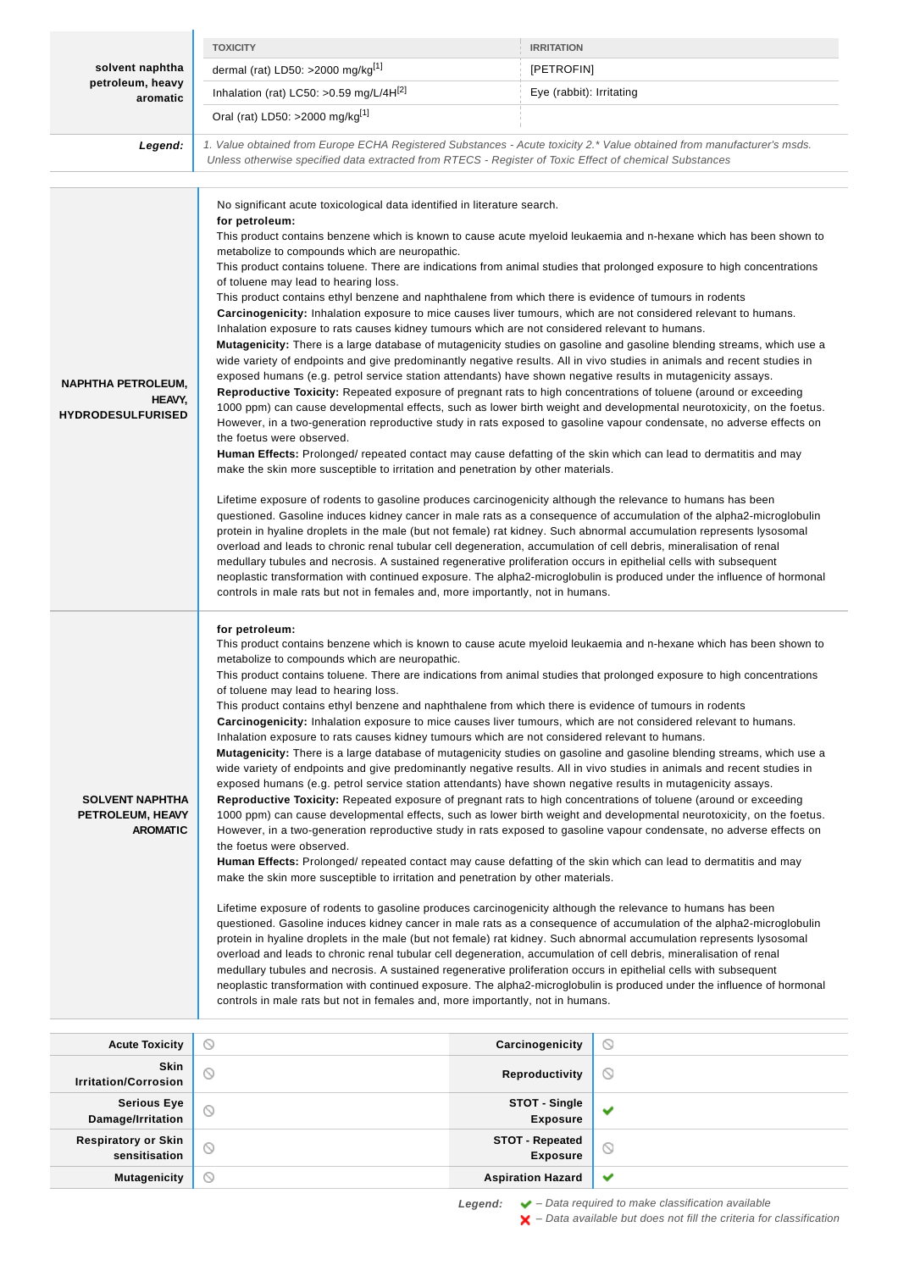|                                                                 | <b>TOXICITY</b>                                                                                                                                                                                                                                                                                                                                                                                                                                                                                                                                                                                                                                                                                                                                                                                                                                                                                                                                                                                                                                                                                                                                                                                                                                                                                                                                                                                                                                                                                                                                                                                                                                                                                                                                                                                                                                                                                                                                                                                                                                                                                                                                                                                                                                                                                                                                                                                                                                                                               | <b>IRRITATION</b>                       |                                                                                                                                                                                                                                                                                                                                                                                                                                                                                                                                                                                                                                                                                                                                                         |
|-----------------------------------------------------------------|-----------------------------------------------------------------------------------------------------------------------------------------------------------------------------------------------------------------------------------------------------------------------------------------------------------------------------------------------------------------------------------------------------------------------------------------------------------------------------------------------------------------------------------------------------------------------------------------------------------------------------------------------------------------------------------------------------------------------------------------------------------------------------------------------------------------------------------------------------------------------------------------------------------------------------------------------------------------------------------------------------------------------------------------------------------------------------------------------------------------------------------------------------------------------------------------------------------------------------------------------------------------------------------------------------------------------------------------------------------------------------------------------------------------------------------------------------------------------------------------------------------------------------------------------------------------------------------------------------------------------------------------------------------------------------------------------------------------------------------------------------------------------------------------------------------------------------------------------------------------------------------------------------------------------------------------------------------------------------------------------------------------------------------------------------------------------------------------------------------------------------------------------------------------------------------------------------------------------------------------------------------------------------------------------------------------------------------------------------------------------------------------------------------------------------------------------------------------------------------------------|-----------------------------------------|---------------------------------------------------------------------------------------------------------------------------------------------------------------------------------------------------------------------------------------------------------------------------------------------------------------------------------------------------------------------------------------------------------------------------------------------------------------------------------------------------------------------------------------------------------------------------------------------------------------------------------------------------------------------------------------------------------------------------------------------------------|
| solvent naphtha                                                 | dermal (rat) LD50: >2000 mg/kg[1]                                                                                                                                                                                                                                                                                                                                                                                                                                                                                                                                                                                                                                                                                                                                                                                                                                                                                                                                                                                                                                                                                                                                                                                                                                                                                                                                                                                                                                                                                                                                                                                                                                                                                                                                                                                                                                                                                                                                                                                                                                                                                                                                                                                                                                                                                                                                                                                                                                                             | [PETROFIN]                              |                                                                                                                                                                                                                                                                                                                                                                                                                                                                                                                                                                                                                                                                                                                                                         |
| petroleum, heavy                                                | Inhalation (rat) LC50: >0.59 mg/L/4 $H[2]$<br>Eye (rabbit): Irritating                                                                                                                                                                                                                                                                                                                                                                                                                                                                                                                                                                                                                                                                                                                                                                                                                                                                                                                                                                                                                                                                                                                                                                                                                                                                                                                                                                                                                                                                                                                                                                                                                                                                                                                                                                                                                                                                                                                                                                                                                                                                                                                                                                                                                                                                                                                                                                                                                        |                                         |                                                                                                                                                                                                                                                                                                                                                                                                                                                                                                                                                                                                                                                                                                                                                         |
| aromatic                                                        | Oral (rat) LD50: >2000 mg/kg <sup>[1]</sup>                                                                                                                                                                                                                                                                                                                                                                                                                                                                                                                                                                                                                                                                                                                                                                                                                                                                                                                                                                                                                                                                                                                                                                                                                                                                                                                                                                                                                                                                                                                                                                                                                                                                                                                                                                                                                                                                                                                                                                                                                                                                                                                                                                                                                                                                                                                                                                                                                                                   |                                         |                                                                                                                                                                                                                                                                                                                                                                                                                                                                                                                                                                                                                                                                                                                                                         |
|                                                                 | 1. Value obtained from Europe ECHA Registered Substances - Acute toxicity 2.* Value obtained from manufacturer's msds.                                                                                                                                                                                                                                                                                                                                                                                                                                                                                                                                                                                                                                                                                                                                                                                                                                                                                                                                                                                                                                                                                                                                                                                                                                                                                                                                                                                                                                                                                                                                                                                                                                                                                                                                                                                                                                                                                                                                                                                                                                                                                                                                                                                                                                                                                                                                                                        |                                         |                                                                                                                                                                                                                                                                                                                                                                                                                                                                                                                                                                                                                                                                                                                                                         |
| Legend:                                                         | Unless otherwise specified data extracted from RTECS - Register of Toxic Effect of chemical Substances                                                                                                                                                                                                                                                                                                                                                                                                                                                                                                                                                                                                                                                                                                                                                                                                                                                                                                                                                                                                                                                                                                                                                                                                                                                                                                                                                                                                                                                                                                                                                                                                                                                                                                                                                                                                                                                                                                                                                                                                                                                                                                                                                                                                                                                                                                                                                                                        |                                         |                                                                                                                                                                                                                                                                                                                                                                                                                                                                                                                                                                                                                                                                                                                                                         |
|                                                                 |                                                                                                                                                                                                                                                                                                                                                                                                                                                                                                                                                                                                                                                                                                                                                                                                                                                                                                                                                                                                                                                                                                                                                                                                                                                                                                                                                                                                                                                                                                                                                                                                                                                                                                                                                                                                                                                                                                                                                                                                                                                                                                                                                                                                                                                                                                                                                                                                                                                                                               |                                         |                                                                                                                                                                                                                                                                                                                                                                                                                                                                                                                                                                                                                                                                                                                                                         |
| <b>NAPHTHA PETROLEUM,</b><br>HEAVY,<br><b>HYDRODESULFURISED</b> | No significant acute toxicological data identified in literature search.<br>for petroleum:<br>metabolize to compounds which are neuropathic.<br>This product contains toluene. There are indications from animal studies that prolonged exposure to high concentrations<br>of toluene may lead to hearing loss.<br>This product contains ethyl benzene and naphthalene from which there is evidence of tumours in rodents<br>Carcinogenicity: Inhalation exposure to mice causes liver tumours, which are not considered relevant to humans.<br>Inhalation exposure to rats causes kidney tumours which are not considered relevant to humans.<br>wide variety of endpoints and give predominantly negative results. All in vivo studies in animals and recent studies in<br>exposed humans (e.g. petrol service station attendants) have shown negative results in mutagenicity assays.<br>Reproductive Toxicity: Repeated exposure of pregnant rats to high concentrations of toluene (around or exceeding<br>the foetus were observed.<br>Human Effects: Prolonged/ repeated contact may cause defatting of the skin which can lead to dermatitis and may<br>make the skin more susceptible to irritation and penetration by other materials.<br>Lifetime exposure of rodents to gasoline produces carcinogenicity although the relevance to humans has been<br>protein in hyaline droplets in the male (but not female) rat kidney. Such abnormal accumulation represents lysosomal<br>overload and leads to chronic renal tubular cell degeneration, accumulation of cell debris, mineralisation of renal<br>medullary tubules and necrosis. A sustained regenerative proliferation occurs in epithelial cells with subsequent<br>controls in male rats but not in females and, more importantly, not in humans.                                                                                                                                                                                                                                                                                                                                                                                                                                                                                                                                                                                                                                                                         |                                         | This product contains benzene which is known to cause acute myeloid leukaemia and n-hexane which has been shown to<br><b>Mutagenicity:</b> There is a large database of mutagenicity studies on gasoline and gasoline blending streams, which use a<br>1000 ppm) can cause developmental effects, such as lower birth weight and developmental neurotoxicity, on the foetus.<br>However, in a two-generation reproductive study in rats exposed to gasoline vapour condensate, no adverse effects on<br>questioned. Gasoline induces kidney cancer in male rats as a consequence of accumulation of the alpha2-microglobulin<br>neoplastic transformation with continued exposure. The alpha2-microglobulin is produced under the influence of hormonal |
| <b>SOLVENT NAPHTHA</b><br>PETROLEUM, HEAVY<br><b>AROMATIC</b>   | for petroleum:<br>This product contains benzene which is known to cause acute myeloid leukaemia and n-hexane which has been shown to<br>metabolize to compounds which are neuropathic.<br>This product contains toluene. There are indications from animal studies that prolonged exposure to high concentrations<br>of toluene may lead to hearing loss.<br>This product contains ethyl benzene and naphthalene from which there is evidence of tumours in rodents<br>Carcinogenicity: Inhalation exposure to mice causes liver tumours, which are not considered relevant to humans.<br>Inhalation exposure to rats causes kidney tumours which are not considered relevant to humans.<br>Mutagenicity: There is a large database of mutagenicity studies on gasoline and gasoline blending streams, which use a<br>wide variety of endpoints and give predominantly negative results. All in vivo studies in animals and recent studies in<br>exposed humans (e.g. petrol service station attendants) have shown negative results in mutagenicity assays.<br>Reproductive Toxicity: Repeated exposure of pregnant rats to high concentrations of toluene (around or exceeding<br>1000 ppm) can cause developmental effects, such as lower birth weight and developmental neurotoxicity, on the foetus.<br>However, in a two-generation reproductive study in rats exposed to gasoline vapour condensate, no adverse effects on<br>the foetus were observed.<br>Human Effects: Prolonged/ repeated contact may cause defatting of the skin which can lead to dermatitis and may<br>make the skin more susceptible to irritation and penetration by other materials.<br>Lifetime exposure of rodents to gasoline produces carcinogenicity although the relevance to humans has been<br>questioned. Gasoline induces kidney cancer in male rats as a consequence of accumulation of the alpha2-microglobulin<br>protein in hyaline droplets in the male (but not female) rat kidney. Such abnormal accumulation represents lysosomal<br>overload and leads to chronic renal tubular cell degeneration, accumulation of cell debris, mineralisation of renal<br>medullary tubules and necrosis. A sustained regenerative proliferation occurs in epithelial cells with subsequent<br>neoplastic transformation with continued exposure. The alpha2-microglobulin is produced under the influence of hormonal<br>controls in male rats but not in females and, more importantly, not in humans. |                                         |                                                                                                                                                                                                                                                                                                                                                                                                                                                                                                                                                                                                                                                                                                                                                         |
| <b>Acute Toxicity</b>                                           | $\circ$                                                                                                                                                                                                                                                                                                                                                                                                                                                                                                                                                                                                                                                                                                                                                                                                                                                                                                                                                                                                                                                                                                                                                                                                                                                                                                                                                                                                                                                                                                                                                                                                                                                                                                                                                                                                                                                                                                                                                                                                                                                                                                                                                                                                                                                                                                                                                                                                                                                                                       | Carcinogenicity                         | $\circ$                                                                                                                                                                                                                                                                                                                                                                                                                                                                                                                                                                                                                                                                                                                                                 |
| Skin<br><b>Irritation/Corrosion</b>                             | O                                                                                                                                                                                                                                                                                                                                                                                                                                                                                                                                                                                                                                                                                                                                                                                                                                                                                                                                                                                                                                                                                                                                                                                                                                                                                                                                                                                                                                                                                                                                                                                                                                                                                                                                                                                                                                                                                                                                                                                                                                                                                                                                                                                                                                                                                                                                                                                                                                                                                             | <b>Reproductivity</b>                   | $\circ$                                                                                                                                                                                                                                                                                                                                                                                                                                                                                                                                                                                                                                                                                                                                                 |
| <b>Serious Eye</b><br>Damage/Irritation                         | ⊙                                                                                                                                                                                                                                                                                                                                                                                                                                                                                                                                                                                                                                                                                                                                                                                                                                                                                                                                                                                                                                                                                                                                                                                                                                                                                                                                                                                                                                                                                                                                                                                                                                                                                                                                                                                                                                                                                                                                                                                                                                                                                                                                                                                                                                                                                                                                                                                                                                                                                             | <b>STOT - Single</b><br><b>Exposure</b> | ✔                                                                                                                                                                                                                                                                                                                                                                                                                                                                                                                                                                                                                                                                                                                                                       |
| <b>Respiratory or Skin</b><br>concitication                     | $\circlearrowright$                                                                                                                                                                                                                                                                                                                                                                                                                                                                                                                                                                                                                                                                                                                                                                                                                                                                                                                                                                                                                                                                                                                                                                                                                                                                                                                                                                                                                                                                                                                                                                                                                                                                                                                                                                                                                                                                                                                                                                                                                                                                                                                                                                                                                                                                                                                                                                                                                                                                           | <b>STOT - Repeated</b><br>Evnosuro      | $\odot$                                                                                                                                                                                                                                                                                                                                                                                                                                                                                                                                                                                                                                                                                                                                                 |

**Mutagenicity Aspiration Hazard** 

**Exposure**

 $\checkmark$ 

**sensitisation**

**Legend:** ◆ - Data required to make classification available – Data available but does not fill the criteria for classification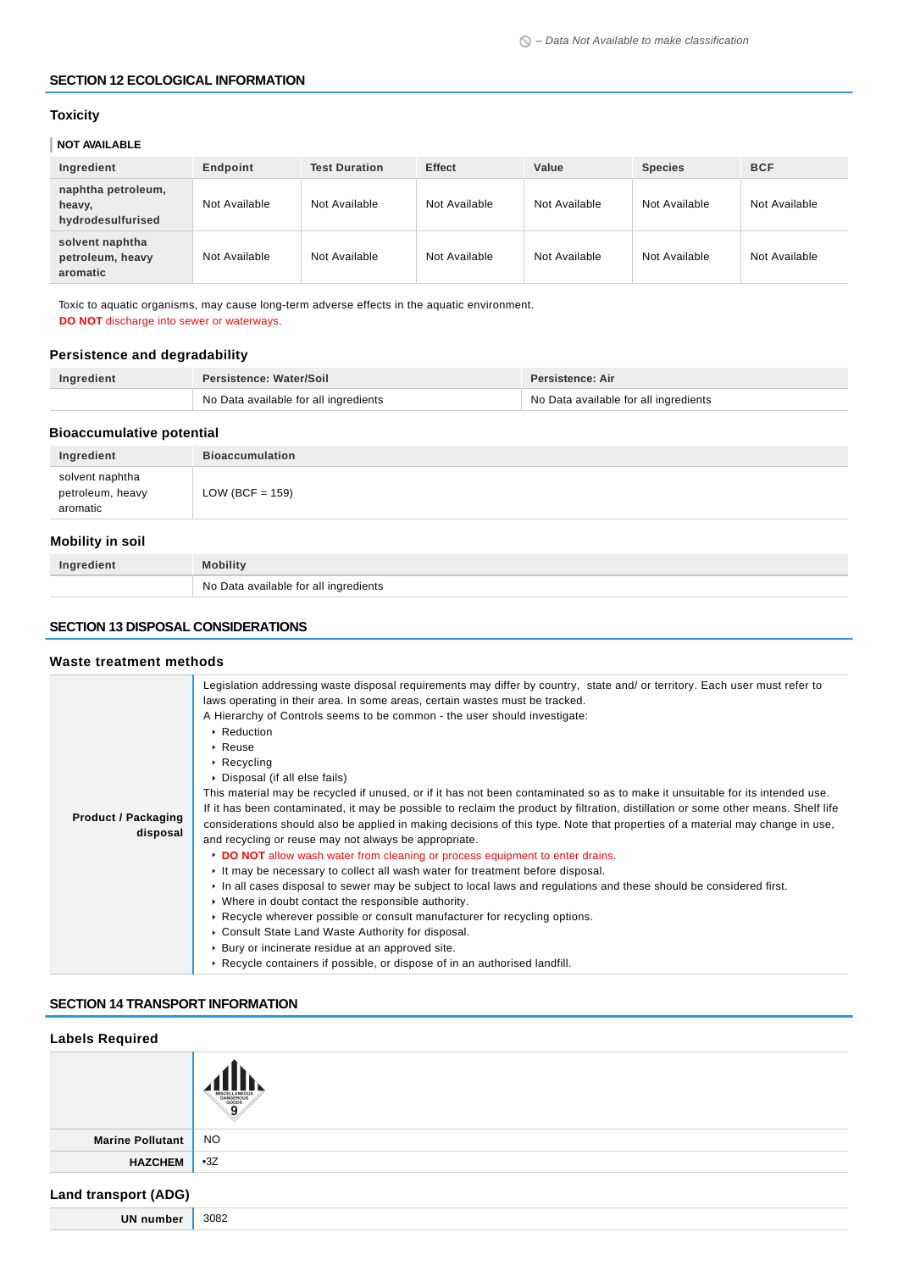#### **SECTION 12 ECOLOGICAL INFORMATION**

### **Toxicity**

### **NOT AVAILABLE**

| Ingredient                                        | Endpoint      | <b>Test Duration</b> | <b>Effect</b> | Value         | <b>Species</b> | <b>BCF</b>    |
|---------------------------------------------------|---------------|----------------------|---------------|---------------|----------------|---------------|
| naphtha petroleum,<br>heavy,<br>hydrodesulfurised | Not Available | Not Available        | Not Available | Not Available | Not Available  | Not Available |
| solvent naphtha<br>petroleum, heavy<br>aromatic   | Not Available | Not Available        | Not Available | Not Available | Not Available  | Not Available |

Toxic to aquatic organisms, may cause long-term adverse effects in the aquatic environment. **DO NOT** discharge into sewer or waterways.

### **Persistence and degradability**

| Ingredient | Persistence: Water/Soil               | <b>Persistence: Air</b>               |  |
|------------|---------------------------------------|---------------------------------------|--|
|            | No Data available for all ingredients | No Data available for all ingredients |  |

### **Bioaccumulative potential**

| solvent naphtha<br>petroleum, heavy<br>LOW (BCF = $159$ )<br>aromatic | Ingredient | <b>Bioaccumulation</b> |
|-----------------------------------------------------------------------|------------|------------------------|
|                                                                       |            |                        |

### **Mobility in soil**

| Ingredient | <b>Mobility</b>                       |
|------------|---------------------------------------|
|            | No Data available for all ingredients |

### **SECTION 13 DISPOSAL CONSIDERATIONS**

#### **Waste treatment methods**

| <b>Product / Packaging</b><br>disposal | Legislation addressing waste disposal requirements may differ by country, state and/ or territory. Each user must refer to<br>laws operating in their area. In some areas, certain wastes must be tracked.<br>A Hierarchy of Controls seems to be common - the user should investigate:<br>▶ Reduction<br>$\triangleright$ Reuse<br>$\triangleright$ Recycling<br>▶ Disposal (if all else fails)<br>This material may be recycled if unused, or if it has not been contaminated so as to make it unsuitable for its intended use.<br>If it has been contaminated, it may be possible to reclaim the product by filtration, distillation or some other means. Shelf life<br>considerations should also be applied in making decisions of this type. Note that properties of a material may change in use,<br>and recycling or reuse may not always be appropriate.<br>DO NOT allow wash water from cleaning or process equipment to enter drains.<br>It may be necessary to collect all wash water for treatment before disposal.<br>In all cases disposal to sewer may be subject to local laws and regulations and these should be considered first.<br>• Where in doubt contact the responsible authority.<br>► Recycle wherever possible or consult manufacturer for recycling options.<br>Consult State Land Waste Authority for disposal.<br>▶ Bury or incinerate residue at an approved site.<br>► Recycle containers if possible, or dispose of in an authorised landfill. |
|----------------------------------------|-----------------------------------------------------------------------------------------------------------------------------------------------------------------------------------------------------------------------------------------------------------------------------------------------------------------------------------------------------------------------------------------------------------------------------------------------------------------------------------------------------------------------------------------------------------------------------------------------------------------------------------------------------------------------------------------------------------------------------------------------------------------------------------------------------------------------------------------------------------------------------------------------------------------------------------------------------------------------------------------------------------------------------------------------------------------------------------------------------------------------------------------------------------------------------------------------------------------------------------------------------------------------------------------------------------------------------------------------------------------------------------------------------------------------------------------------------------------------------------|
|----------------------------------------|-----------------------------------------------------------------------------------------------------------------------------------------------------------------------------------------------------------------------------------------------------------------------------------------------------------------------------------------------------------------------------------------------------------------------------------------------------------------------------------------------------------------------------------------------------------------------------------------------------------------------------------------------------------------------------------------------------------------------------------------------------------------------------------------------------------------------------------------------------------------------------------------------------------------------------------------------------------------------------------------------------------------------------------------------------------------------------------------------------------------------------------------------------------------------------------------------------------------------------------------------------------------------------------------------------------------------------------------------------------------------------------------------------------------------------------------------------------------------------------|

#### **SECTION 14 TRANSPORT INFORMATION**

| <b>Labels Required</b>      |                                                       |
|-----------------------------|-------------------------------------------------------|
|                             | MISCELLANEOUS<br>DANGEROUS<br>GOODS<br>$\overline{9}$ |
| <b>Marine Pollutant</b>     | <b>NO</b>                                             |
| <b>HAZCHEM</b>              | $-3Z$                                                 |
| <b>Land transport (ADG)</b> |                                                       |
| <b>UN number</b>            | 3082                                                  |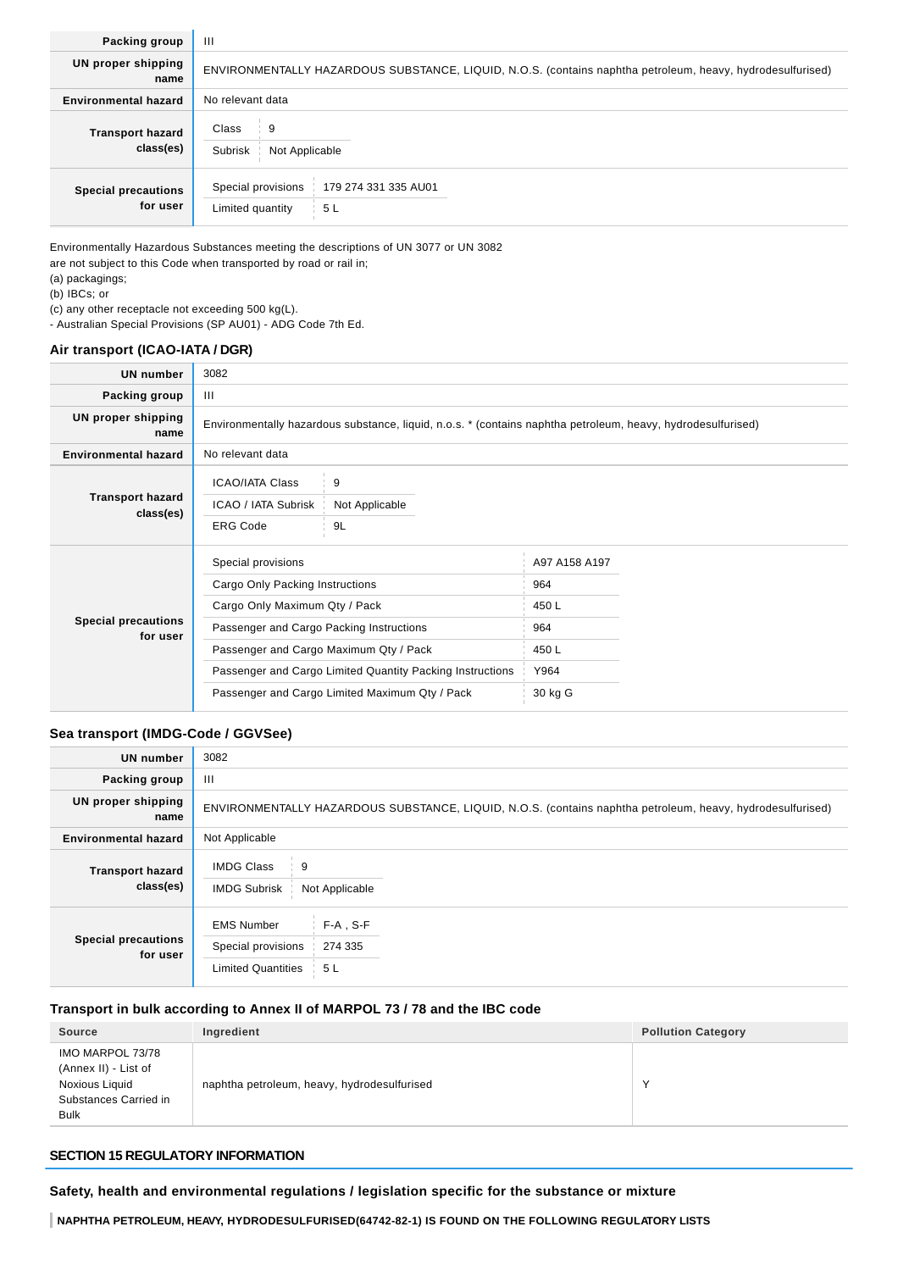| Packing group                          | $\mathbf{H}$                                                                                               |
|----------------------------------------|------------------------------------------------------------------------------------------------------------|
| <b>UN proper shipping</b><br>name      | ENVIRONMENTALLY HAZARDOUS SUBSTANCE, LIQUID, N.O.S. (contains naphtha petroleum, heavy, hydrodesulfurised) |
| <b>Environmental hazard</b>            | No relevant data                                                                                           |
| <b>Transport hazard</b><br>class(es)   | Class<br>9<br>Subrisk<br>Not Applicable                                                                    |
| <b>Special precautions</b><br>for user | Special provisions<br>179 274 331 335 AU01<br>Limited quantity<br>5L                                       |

Environmentally Hazardous Substances meeting the descriptions of UN 3077 or UN 3082 are not subject to this Code when transported by road or rail in;

(a) packagings; (b) IBCs; or

(c) any other receptacle not exceeding 500 kg(L).

- Australian Special Provisions (SP AU01) - ADG Code 7th Ed.

### **Air transport (ICAO-IATA / DGR)**

| <b>UN</b> number                       | 3082                                                                                                                                                                                                                                                                                        |                           |                                                                  |  |
|----------------------------------------|---------------------------------------------------------------------------------------------------------------------------------------------------------------------------------------------------------------------------------------------------------------------------------------------|---------------------------|------------------------------------------------------------------|--|
| Packing group                          | $\mathbf{III}$                                                                                                                                                                                                                                                                              |                           |                                                                  |  |
| UN proper shipping<br>name             | Environmentally hazardous substance, liquid, n.o.s. * (contains naphtha petroleum, heavy, hydrodesulfurised)                                                                                                                                                                                |                           |                                                                  |  |
| <b>Environmental hazard</b>            | No relevant data                                                                                                                                                                                                                                                                            |                           |                                                                  |  |
| <b>Transport hazard</b><br>class(es)   | <b>ICAO/IATA Class</b><br>ICAO / IATA Subrisk<br><b>ERG Code</b>                                                                                                                                                                                                                            | 9<br>Not Applicable<br>9L |                                                                  |  |
| <b>Special precautions</b><br>for user | Special provisions<br>Cargo Only Packing Instructions<br>Cargo Only Maximum Qty / Pack<br>Passenger and Cargo Packing Instructions<br>Passenger and Cargo Maximum Qty / Pack<br>Passenger and Cargo Limited Quantity Packing Instructions<br>Passenger and Cargo Limited Maximum Qty / Pack |                           | A97 A158 A197<br>964<br>450 L<br>964<br>450 L<br>Y964<br>30 kg G |  |

### **Sea transport (IMDG-Code / GGVSee)**

| UN number                              | 3082                                                                 |                                                                                                            |  |
|----------------------------------------|----------------------------------------------------------------------|------------------------------------------------------------------------------------------------------------|--|
| Packing group                          | Ш                                                                    |                                                                                                            |  |
| UN proper shipping<br>name             |                                                                      | ENVIRONMENTALLY HAZARDOUS SUBSTANCE, LIQUID, N.O.S. (contains naphtha petroleum, heavy, hydrodesulfurised) |  |
| <b>Environmental hazard</b>            | Not Applicable                                                       |                                                                                                            |  |
| <b>Transport hazard</b><br>class(es)   | <b>IMDG Class</b><br>9<br><b>IMDG Subrisk</b><br>Not Applicable      |                                                                                                            |  |
| <b>Special precautions</b><br>for user | <b>EMS Number</b><br>Special provisions<br><b>Limited Quantities</b> | $F-A$ , S-F<br>274 335<br>5 L                                                                              |  |

### **Transport in bulk according to Annex II of MARPOL 73 / 78 and the IBC code**

| <b>Source</b>                                                                                      | Ingredient                                  | <b>Pollution Category</b> |
|----------------------------------------------------------------------------------------------------|---------------------------------------------|---------------------------|
| IMO MARPOL 73/78<br>(Annex II) - List of<br>Noxious Liquid<br>Substances Carried in<br><b>Bulk</b> | naphtha petroleum, heavy, hydrodesulfurised | $\sqrt{}$                 |

### **SECTION 15 REGULATORY INFORMATION**

**Safety, health and environmental regulations / legislation specific for the substance or mixture**

**NAPHTHA PETROLEUM, HEAVY, HYDRODESULFURISED(64742-82-1) IS FOUND ON THE FOLLOWING REGULATORY LISTS**